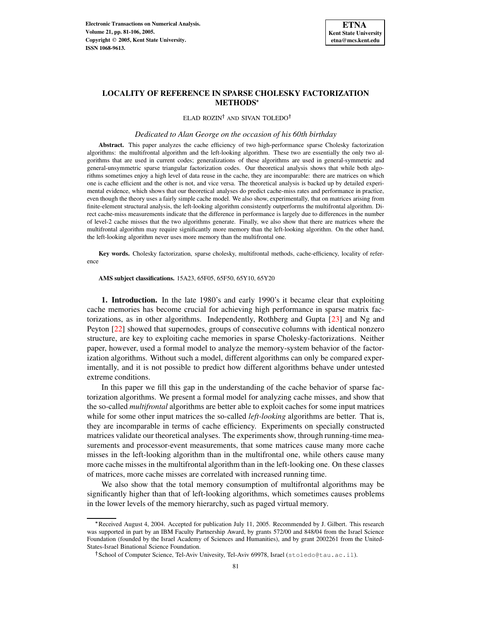

ELAD ROZIN<sup>†</sup> AND SIVAN TOLEDO†

*Dedicated to Alan George on the occasion of his 60th birthday*

**Abstract.** This paper analyzes the cache efficiency of two high-performance sparse Cholesky factorization algorithms: the multifrontal algorithm and the left-looking algorithm. These two are essentially the only two algorithms that are used in current codes; generalizations of these algorithms are used in general-symmetric and general-unsymmetric sparse triangular factorization codes. Our theoretical analysis shows that while both algorithms sometimes enjoy a high level of data reuse in the cache, they are incomparable: there are matrices on which one is cache efficient and the other is not, and vice versa. The theoretical analysis is backed up by detailed experimental evidence, which shows that our theoretical analyses do predict cache-miss rates and performance in practice, even though the theory uses a fairly simple cache model. We also show, experimentally, that on matrices arising from finite-element structural analysis, the left-looking algorithm consistently outperforms the multifrontal algorithm. Direct cache-miss measurements indicate that the difference in performance is largely due to differences in the number of level-2 cache misses that the two algorithms generate. Finally, we also show that there are matrices where the multifrontal algorithm may require significantly more memory than the left-looking algorithm. On the other hand, the left-looking algorithm never uses more memory than the multifrontal one.

**Key words.** Cholesky factorization, sparse cholesky, multifrontal methods, cache-efficiency, locality of reference

**AMS subject classifications.** 15A23, 65F05, 65F50, 65Y10, 65Y20

**1. Introduction.** In the late 1980's and early 1990's it became clear that exploiting cache memories has become crucial for achieving high performance in sparse matrix factorizations, as in other algorithms. Independently, Rothberg and Gupta [\[23\]](#page-25-0) and Ng and Peyton [\[22\]](#page-25-1) showed that supernodes, groups of consecutive columns with identical nonzero structure, are key to exploiting cache memories in sparse Cholesky-factorizations. Neither paper, however, used a formal model to analyze the memory-system behavior of the factorization algorithms. Without such a model, different algorithms can only be compared experimentally, and it is not possible to predict how different algorithms behave under untested extreme conditions.

In this paper we fill this gap in the understanding of the cache behavior of sparse factorization algorithms. We present a formal model for analyzing cache misses, and show that the so-called *multifrontal* algorithms are better able to exploit caches for some input matrices while for some other input matrices the so-called *left-looking* algorithms are better. That is, they are incomparable in terms of cache efficiency. Experiments on specially constructed matrices validate our theoretical analyses. The experiments show, through running-time measurements and processor-event measurements, that some matrices cause many more cache misses in the left-looking algorithm than in the multifrontal one, while others cause many more cache misses in the multifrontal algorithm than in the left-looking one. On these classes of matrices, more cache misses are correlated with increased running time.

We also show that the total memory consumption of multifrontal algorithms may be significantly higher than that of left-looking algorithms, which sometimes causes problems in the lower levels of the memory hierarchy, such as paged virtual memory.

Received August 4, 2004. Accepted for publication July 11, 2005. Recommended by J. Gilbert. This research was supported in part by an IBM Faculty Partnership Award, by grants 572/00 and 848/04 from the Israel Science Foundation (founded by the Israel Academy of Sciences and Humanities), and by grant 2002261 from the United-States-Israel Binational Science Foundation.

<sup>&</sup>lt;sup>†</sup>School of Computer Science, Tel-Aviv Univesity, Tel-Aviv 69978, Israel (stoledo@tau.ac.il).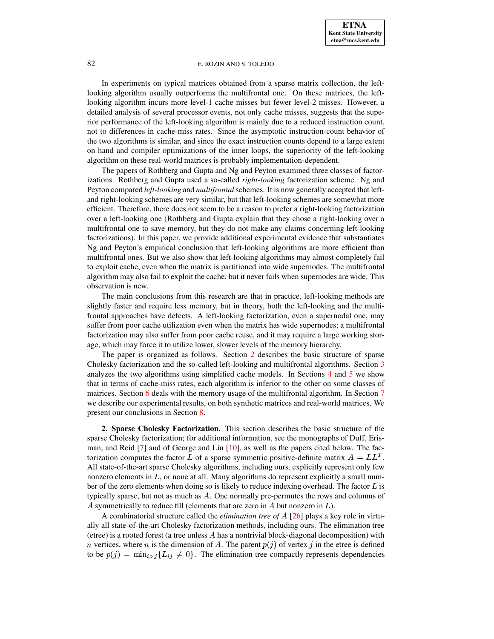In experiments on typical matrices obtained from a sparse matrix collection, the leftlooking algorithm usually outperforms the multifrontal one. On these matrices, the leftlooking algorithm incurs more level-1 cache misses but fewer level-2 misses. However, a detailed analysis of several processor events, not only cache misses, suggests that the superior performance of the left-looking algorithm is mainly due to a reduced instruction count, not to differences in cache-miss rates. Since the asymptotic instruction-count behavior of the two algorithms is similar, and since the exact instruction counts depend to a large extent on hand and compiler optimizations of the inner loops, the superiority of the left-looking algorithm on these real-world matrices is probably implementation-dependent.

The papers of Rothberg and Gupta and Ng and Peyton examined three classes of factorizations. Rothberg and Gupta used a so-called *right-looking* factorization scheme. Ng and Peyton compared *left-looking* and *multifrontal* schemes. It is now generally accepted that leftand right-looking schemes are very similar, but that left-looking schemes are somewhat more efficient. Therefore, there does not seem to be a reason to prefer a right-looking factorization over a left-looking one (Rothberg and Gupta explain that they chose a right-looking over a multifrontal one to save memory, but they do not make any claims concerning left-looking factorizations). In this paper, we provide additional experimental evidence that substantiates Ng and Peyton's empirical conclusion that left-looking algorithms are more efficient than multifrontal ones. But we also show that left-looking algorithms may almost completely fail to exploit cache, even when the matrix is partitioned into wide supernodes. The multifrontal algorithm may also fail to exploit the cache, but it never fails when supernodes are wide. This observation is new.

The main conclusions from this research are that in practice, left-looking methods are slightly faster and require less memory, but in theory, both the left-looking and the multifrontal approaches have defects. A left-looking factorization, even a supernodal one, may suffer from poor cache utilization even when the matrix has wide supernodes; a multifrontal factorization may also suffer from poor cache reuse, and it may require a large working storage, which may force it to utilize lower, slower levels of the memory hierarchy.

The paper is organized as follows. Section [2](#page-1-0) describes the basic structure of sparse Cholesky factorization and the so-called left-looking and multifrontal algorithms. Section [3](#page-4-0) analyzes the two algorithms using simplified cache models. In Sections [4](#page-9-0) and [5](#page-11-0) we show that in terms of cache-miss rates, each algorithm is inferior to the other on some classes of matrices. Section [6](#page-13-0) deals with the memory usage of the multifrontal algorithm. In Section [7](#page-15-0) we describe our experimental results, on both synthetic matrices and real-world matrices. We present our conclusions in Section [8.](#page-22-0)

<span id="page-1-0"></span>**2. Sparse Cholesky Factorization.** This section describes the basic structure of the sparse Cholesky factorization; for additional information, see the monographs of Duff, Erisman, and Reid [\[7\]](#page-24-0) and of George and Liu [\[10\]](#page-24-1), as well as the papers cited below. The factorization computes the factor L of a sparse symmetric positive-definite matrix  $A = LL^T$ . All state-of-the-art sparse Cholesky algorithms, including ours, explicitly represent only few nonzero elements in  $L$ , or none at all. Many algorithms do represent explicitly a small number of the zero elements when doing so is likely to reduce indexing overhead. The factor  $L$  is typically sparse, but not as much as  $A$ . One normally pre-permutes the rows and columns of A symmetrically to reduce fill (elements that are zero in  $A$  but nonzero in  $L$ ).

A combinatorial structure called the *elimination tree of* [\[26\]](#page-25-2) plays a key role in virtually all state-of-the-art Cholesky factorization methods, including ours. The elimination tree (etree) is a rooted forest (a tree unless  $A$  has a nontrivial block-diagonal decomposition) with *n* vertices, where *n* is the dimension of A. The parent  $p(j)$  of vertex *j* in the etree is defined to be  $p(j) = \min_{i \geq j} \{L_{ij} \neq 0\}$ . The elimination tree compactly represents dependencies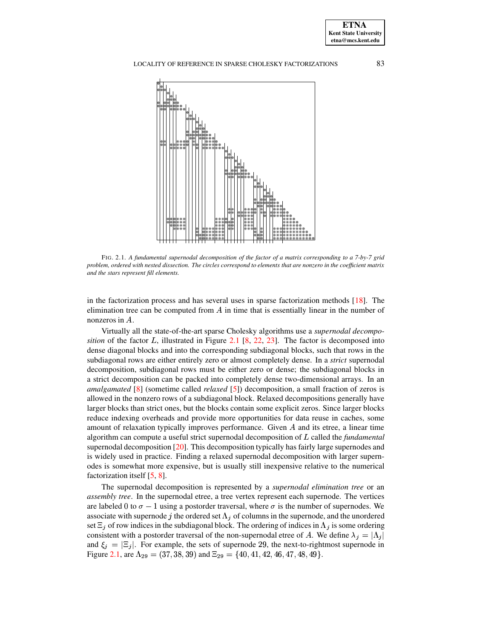

<span id="page-2-0"></span>FIG. 2.1. *A fundamental supernodal decomposition of the factor of a matrix corresponding to a 7-by-7 grid* problem, ordered with nested dissection. The circles correspond to elements that are nonzero in the coefficient matrix *and the stars represent fill elements.*

in the factorization process and has several uses in sparse factorization methods  $[18]$ . The elimination tree can be computed from  $A$  in time that is essentially linear in the number of nonzeros in  $A$ .

Virtually all the state-of-the-art sparse Cholesky algorithms use a *supernodal decomposition* of the factor L, illustrated in Figure [2.1](#page-2-0) [\[8,](#page-24-3) [22,](#page-25-1) [23\]](#page-25-0). The factor is decomposed into dense diagonal blocks and into the corresponding subdiagonal blocks, such that rows in the subdiagonal rows are either entirely zero or almost completely dense. In a *strict* supernodal decomposition, subdiagonal rows must be either zero or dense; the subdiagonal blocks in a strict decomposition can be packed into completely dense two-dimensional arrays. In an *amalgamated* [\[8\]](#page-24-3) (sometime called *relaxed* [\[5\]](#page-24-4)) decomposition, a small fraction of zeros is allowed in the nonzero rows of a subdiagonal block. Relaxed decompositions generally have larger blocks than strict ones, but the blocks contain some explicit zeros. Since larger blocks reduce indexing overheads and provide more opportunities for data reuse in caches, some amount of relaxation typically improves performance. Given  $A$  and its etree, a linear time algorithm can compute a useful strict supernodal decomposition of L called the *fundamental* supernodal decomposition [\[20\]](#page-25-3). This decomposition typically has fairly large supernodes and is widely used in practice. Finding a relaxed supernodal decomposition with larger supernodes is somewhat more expensive, but is usually still inexpensive relative to the numerical factorization itself [\[5,](#page-24-4) [8\]](#page-24-3).

The supernodal decomposition is represented by a *supernodal elimination tree* or an *assembly tree*. In the supernodal etree, a tree vertex represent each supernode. The vertices are labeled 0 to  $\sigma - 1$  using a postorder traversal, where  $\sigma$  is the number of supernodes. We associate with supernode j the ordered set  $\Lambda_j$  of columns in the supernode, and the unordered set  $\Xi_j$  of row indices in the subdiagonal block. The ordering of indices in  $\Lambda_j$  is some ordering consistent with a postorder traversal of the non-supernodal etree of A. We define  $\lambda_j = |\Lambda_j|$ and  $\xi_j = |\Xi_j|$ . For example, the sets of supernode 29, the next-to-rightmost supernode in Figure [2.1,](#page-2-0) are  $\Lambda_{29} = (37, 38, 39)$  and  $\Xi_{29} = \{40, 41, 42, 46, 47, 48, 49\}.$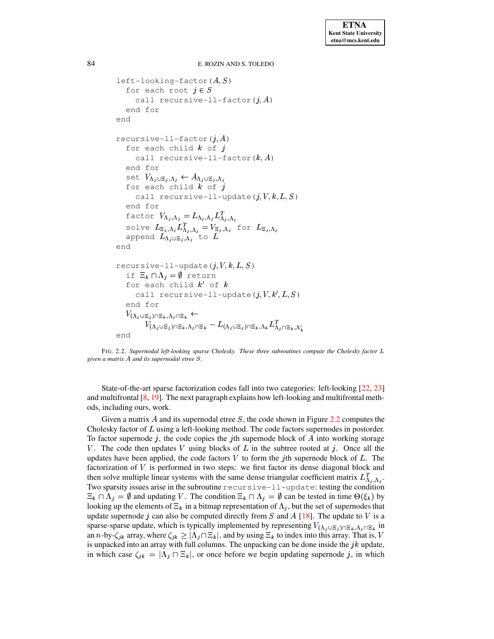```
84 E. ROZIN AND S. TOLEDO
```

```
left-looking-factor(A, S)for each root j \in Scall recursive-ll-factor(j, A)end for
end
recursive-ll-factor(j, A)for each child k of icall recursive-ll-factor(k, A)end for
    set V_{\Lambda_j\cup\Xi_j,\Lambda_j}\leftarrow A_{\Lambda_j\cup\Xi_j,\Lambda_j}for each child k of jcall recursive-ll-update(j, V, k, L, S)
    end for
    factor V_{\Lambda_j,\Lambda_j} = L_{\Lambda_j,\Lambda_j} L_{\Lambda_j,\Lambda_j}^Tsolve L_{\Xi_i,\Lambda_i}L_{\Lambda_i,\Lambda_i}^T=V_{\Xi_i,\Lambda_i} for L_{\Xi_i,\Lambda_i}append L_{\Lambda_j\cup\Xi_j,\Lambda_j} to Lend
recursive-ll-update(j, V, k, L, S)if \Xi_k \cap \Lambda_j = \emptyset return
    for each child k' of kcall recursive-ll-update(j, V, k', L, S)end for
    V_{(\Lambda_j\cup \Xi_j)\cap \Xi_k,\Lambda_j\cap \Xi_k}\leftarrowU(1, y) = \sum_{j=1}^N \sum_{j=1}^N \sum_{j=1}^N \sum_{j=1}^N \sum_{j=1}^N \sum_{j=1}^N \sum_{j=1}^N \sum_{j=1}^N \sum_{j=1}^N \sum_{j=1}^N \sum_{j=1}^N \sum_{j=1}^N \sum_{j=1}^N \sum_{j=1}^N \sum_{j=1}^N \sum_{j=1}^N \sum_{j=1}^N \sum_{j=1}^N \sum_{j=1}^N \sum_{j=1}^N \sum_{j=1}^N \sum_{j=1}^N \sum_{j=1}^N \sum_{j=1end
```
<span id="page-3-0"></span>FIG. 2.2. *Supernodal left-looking sparse Cholesky. These three subroutines compute the Cholesky factor* <sup>t</sup> *given a matrix A and its supernodal etree*  $S$ .

State-of-the-art sparse factorization codes fall into two categories: left-looking [\[22,](#page-25-1) [23\]](#page-25-0) and multifrontal  $[8, 19]$  $[8, 19]$  $[8, 19]$ . The next paragraph explains how left-looking and multifrontal methods, including ours, work.

Given a matrix A and its supernodal etree S, the code shown in Figure [2.2](#page-3-0) computes the Cholesky factor of  $L$  using a left-looking method. The code factors supernodes in postorder. To factor supernode  $j$ , the code copies the *j*th supernode block of  $A$  into working storage V. The code then updates V using blocks of  $L$  in the subtree rooted at  $j$ . Once all the updates have been applied, the code factors  $V$  to form the *j*th supernode block of  $L$ . The factorization of  $V$  is performed in two steps: we first factor its dense diagonal block and then solve multiple linear systems with the same dense triangular coefficient matrix  $L_{\Lambda_i,\Lambda_i}^T$ . Two sparsity issues arise in the subroutine recursive-ll-update: testing the condition  $\Xi_k \cap \Lambda_j = \emptyset$  and updating V. The condition  $\Xi_k \cap \Lambda_j = \emptyset$  can be tested in time  $\Theta(\xi_k)$  by looking up the elements of  $\Xi_k$  in a bitmap representation of  $\Lambda_i$ , but the set of supernodes that update supernode *j* can also be computed directly from  $S$  and  $A$  [\[18\]](#page-24-2). The update to  $V$  is a sparse-sparse update, which is typically implemented by representing  $V_{(\Lambda_j\cup\Xi_j)\cap\Xi_k,\Lambda_j\cap\Xi_k}$  in an *n*-by- $\zeta_{jk}$  array, where  $\zeta_{jk} \geq |\Lambda_j \cap \Xi_k|$ , and by using  $\Xi_k$  to index into this array. That is, V is unpacked into an array with full columns. The unpacking can be done inside the  $jk$  update, in which case  $\zeta_{jk} = |\Lambda_j \cap \Xi_k|$ , or once before we begin updating supernode j, in which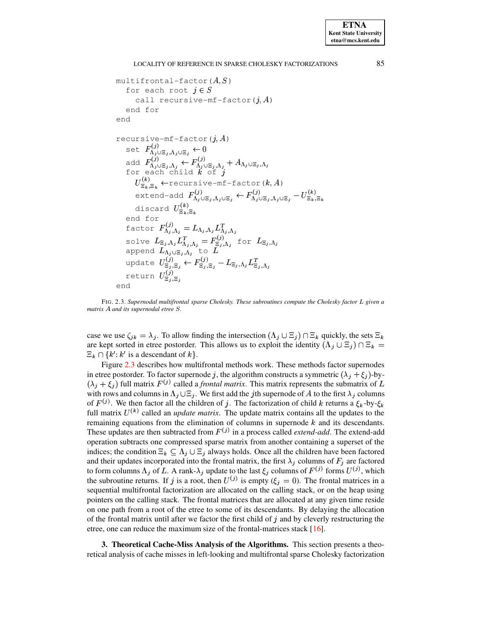```
multifrontal-factor (A, S)for each root j \in Scall recursive-mf-factor(i, A)end for
end
recursive-mf-factor(i, A)set F_{\Lambda_i\cup\Xi_i,\Lambda_i\cup\Xi_j}^{(J)}\leftarrow 0add F_{\Lambda_j \cup \Xi_j, \Lambda_j}^{(J)} \leftarrow F_{\Lambda_j \cup \Xi_j, \Lambda_j}^{(J)} + A_{\Lambda_j \cup \Xi_j, \Lambda_j}<br>for each child k of jU_{\Xi_L,\Xi_L}^{(k)} \leftarrow recursive-mf-factor (k,A)extend-add F_{\Lambda_j \cup \Xi_j, \Lambda_j \cup \Xi_j}^{(J)} \leftarrow F_{\Lambda_j \cup \Xi_j, \Lambda_j \cup \Xi_j}^{(J)} - U_{\Xi_k, \Xi_k}^{(K)}discard U_{\Xi_k, \Xi_k}^{(k)}end for
      factor F_{\Lambda_i \Lambda_j}^{(J)} = L_{\Lambda_j, \Lambda_j} I\mathcal{U} \cdot \mathcal{U} = \mathcal{U} \cdot \mathcal{U} \cdot \mathcal{U} = \mathcal{U} \cdot \mathcal{U}solve L_{\Xi_j,\Lambda_j}L_{\Lambda_i,\Lambda_i}^T = F_{\Xi_i,\Lambda_i}^{(J)} for L_{\Xi_j,\Lambda_j}append L_{\Lambda_i\cup\Xi_j,\Lambda_j} to Lupdate U_{\Xi_2,\Xi_3}^{(J)} \leftarrow F_{\Xi_4,\Xi_2}^{(J)} - L_{\Xi_4,\Lambda_4} L_{\Xi_4,\Lambda_4}^Treturn U^{(J)}_{\Xi_A,\Xi_A}end
```
<span id="page-4-1"></span>FIG. 2.3. *Supernodal multifrontal sparse Cholesky. These subroutines compute the Cholesky factor* <sup>t</sup> *given a matrix* A and *its* supernodal etree S.

case we use  $\zeta_{jk} = \lambda_j$ . To allow finding the intersection  $(\Lambda_j \cup \Xi_j) \cap \Xi_k$  quickly, the sets  $\Xi_k$ are kept sorted in etree postorder. This allows us to exploit the identity  $(\Lambda_i \cup \Xi_i) \cap \Xi_k =$  $\Xi_k \cap \{k' : k' \text{ is a descendant of } k\}.$ 

Figure [2.3](#page-4-1) describes how multifrontal methods work. These methods factor supernodes in etree postorder. To factor supernode j, the algorithm constructs a symmetric  $(\lambda_i + \xi_i)$ -by- $(\lambda_j + \xi_j)$  full matrix  $F^{(j)}$  called a *frontal matrix*. This matrix represents the submatrix of L with rows and columns in  $\Lambda_j \cup \Xi_j$ . We first add the *j*th supernode of *A* to the first  $\lambda_j$  columns of  $F^{(j)}$ . We then factor all the children of j. The factorization of child k returns a  $\xi_k$ -by- $\xi_k$ full matrix  $U^{(k)}$  called an *update matrix*. The update matrix contains all the updates to the remaining equations from the elimination of columns in supernode  $k$  and its descendants. These updates are then subtracted from  $F^{(j)}$  in a process called *extend-add*. The extend-add operation subtracts one compressed sparse matrix from another containing a superset of the indices; the condition  $\Xi_k \subseteq \Lambda_j \cup \Xi_j$  always holds. Once all the children have been factored and their updates incorporated into the frontal matrix, the first  $\lambda_i$  columns of  $F_i$  are factored to form columns  $\Lambda_j$  of L. A rank- $\lambda_j$  update to the last  $\xi_j$  columns of  $F^{(j)}$  forms  $U^{(j)}$ , which the subroutine returns. If j is a root, then  $U^{(j)}$  is empty  $(\xi_j = 0)$ . The frontal matrices in a sequential multifrontal factorization are allocated on the calling stack, or on the heap using pointers on the calling stack. The frontal matrices that are allocated at any given time reside on one path from a root of the etree to some of its descendants. By delaying the allocation of the frontal matrix until after we factor the first child of  $j$  and by cleverly restructuring the etree, one can reduce the maximum size of the frontal-matrices stack [\[16\]](#page-24-6).

<span id="page-4-0"></span>**3. Theoretical Cache-Miss Analysis of the Algorithms.** This section presents a theoretical analysis of cache misses in left-looking and multifrontal sparse Cholesky factorization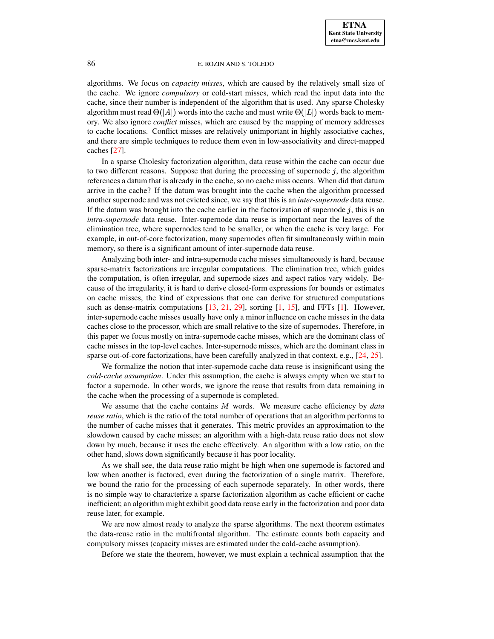algorithms. We focus on *capacity misses*, which are caused by the relatively small size of the cache. We ignore *compulsory* or cold-start misses, which read the input data into the cache, since their number is independent of the algorithm that is used. Any sparse Cholesky algorithm must read  $\Theta(|A|)$  words into the cache and must write  $\Theta(|L|)$  words back to memory. We also ignore *conflict* misses, which are caused by the mapping of memory addresses to cache locations. Conflict misses are relatively unimportant in highly associative caches, and there are simple techniques to reduce them even in low-associativity and direct-mapped caches [\[27\]](#page-25-4).

In a sparse Cholesky factorization algorithm, data reuse within the cache can occur due to two different reasons. Suppose that during the processing of supernode  $j$ , the algorithm references a datum that is already in the cache, so no cache miss occurs. When did that datum arrive in the cache? If the datum was brought into the cache when the algorithm processed another supernode and was not evicted since, we say that this is an *inter-supernode* data reuse. If the datum was brought into the cache earlier in the factorization of supernode  $j$ , this is an *intra-supernode* data reuse. Inter-supernode data reuse is important near the leaves of the elimination tree, where supernodes tend to be smaller, or when the cache is very large. For example, in out-of-core factorization, many supernodes often fit simultaneously within main memory, so there is a significant amount of inter-supernode data reuse.

Analyzing both inter- and intra-supernode cache misses simultaneously is hard, because sparse-matrix factorizations are irregular computations. The elimination tree, which guides the computation, is often irregular, and supernode sizes and aspect ratios vary widely. Because of the irregularity, it is hard to derive closed-form expressions for bounds or estimates on cache misses, the kind of expressions that one can derive for structured computations such as dense-matrix computations  $[13, 21, 29]$  $[13, 21, 29]$  $[13, 21, 29]$  $[13, 21, 29]$  $[13, 21, 29]$ , sorting  $[1, 15]$  $[1, 15]$  $[1, 15]$ , and FFTs  $[1]$ . However, inter-supernode cache misses usually have only a minor influence on cache misses in the data caches close to the processor, which are small relative to the size of supernodes. Therefore, in this paper we focus mostly on intra-supernode cache misses, which are the dominant class of cache misses in the top-level caches. Inter-supernode misses, which are the dominant class in sparse out-of-core factorizations, have been carefully analyzed in that context, e.g., [\[24,](#page-25-7) [25\]](#page-25-8).

We formalize the notion that inter-supernode cache data reuse is insignificant using the *cold-cache assumption*. Under this assumption, the cache is always empty when we start to factor a supernode. In other words, we ignore the reuse that results from data remaining in the cache when the processing of a supernode is completed.

We assume that the cache contains M words. We measure cache efficiency by *data reuse ratio*, which is the ratio of the total number of operations that an algorithm performs to the number of cache misses that it generates. This metric provides an approximation to the slowdown caused by cache misses; an algorithm with a high-data reuse ratio does not slow down by much, because it uses the cache effectively. An algorithm with a low ratio, on the other hand, slows down significantly because it has poor locality.

As we shall see, the data reuse ratio might be high when one supernode is factored and low when another is factored, even during the factorization of a single matrix. Therefore, we bound the ratio for the processing of each supernode separately. In other words, there is no simple way to characterize a sparse factorization algorithm as cache efficient or cache inefficient; an algorithm might exhibit good data reuse early in the factorization and poor data reuse later, for example.

We are now almost ready to analyze the sparse algorithms. The next theorem estimates the data-reuse ratio in the multifrontal algorithm. The estimate counts both capacity and compulsory misses (capacity misses are estimated under the cold-cache assumption).

Before we state the theorem, however, we must explain a technical assumption that the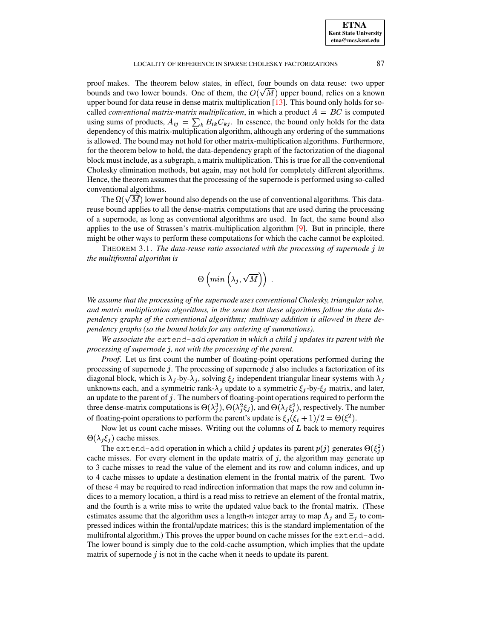proof makes. The theorem below states, in effect, four bounds on data reuse: two upper bounds and two lower bounds. One of them, the  $O(\sqrt{M})$  upper bound, relies on a known upper bound for data reuse in dense matrix multiplication [\[13\]](#page-24-7). This bound only holds for socalled *conventional matrix-matrix multiplication*, in which a product  $A = BC$  is computed using sums of products,  $A_{ij} = \sum_k B_{ik} C_{kj}$ . In essence, the bound only holds for the data dependency of this matrix-multiplication algorithm, although any ordering of the summations is allowed. The bound may not hold for other matrix-multiplication algorithms. Furthermore, for the theorem below to hold, the data-dependency graph of the factorization of the diagonal block must include, as a subgraph, a matrix multiplication. This is true for all the conventional Cholesky elimination methods, but again, may not hold for completely different algorithms. Hence, the theorem assumes that the processing of the supernode is performed using so-called conventional algorithms.

The  $\Omega(\sqrt{M})$  lower bound also depends on the use of conventional algorithms. This datareuse bound applies to all the dense-matrix computations that are used during the processing of a supernode, as long as conventional algorithms are used. In fact, the same bound also applies to the use of Strassen's matrix-multiplication algorithm [\[9\]](#page-24-10). But in principle, there might be other ways to perform these computations for which the cache cannot be exploited.

<span id="page-6-0"></span>THEOREM 3.1. *The data-reuse ratio associated with the processing of supernode in the multifrontal algorithm is*

$$
\Theta\left(min\left(\lambda_j,\sqrt{M}\right)\right)\;.
$$

*We assume that the processing of the supernode uses conventional Cholesky, triangular solve, and matrix multiplication algorithms, in the sense that these algorithms follow the data dependency graphs of the conventional algorithms; multiway addition is allowed in these dependency graphs (so the bound holds for any ordering of summations).*

*We associate the* extend-add *operation in which a child updates its parent with the processing of supernode , not with the processing of the parent.*

*Proof*. Let us first count the number of floating-point operations performed during the processing of supernode  $j$ . The processing of supernode  $j$  also includes a factorization of its diagonal block, which is  $\lambda_j$ -by- $\lambda_j$ , solving  $\xi_j$  independent triangular linear systems with  $\lambda_j$ unknowns each, and a symmetric rank- $\lambda_j$  update to a symmetric  $\xi_j$ -by- $\xi_j$  matrix, and later, an update to the parent of  $j$ . The numbers of floating-point operations required to perform the three dense-matrix computations is  $\Theta(\lambda_i^3)$ ,  $\Theta(\lambda_i^2 \xi_i)$ , and  $\Theta(\lambda_i \xi_i^2)$ , respectively. The number of floating-point operations to perform the parent's update is  $\xi_i(\xi_i + 1)/2 = \Theta(\xi^2)$ .

Now let us count cache misses. Writing out the columns of  $L$  back to memory requires  $\Theta(\lambda_i \xi_i)$  cache misses.

The extend-add operation in which a child j updates its parent  $p(j)$  generates  $\Theta(\xi_j^2)$ cache misses. For every element in the update matrix of  $j$ , the algorithm may generate up to 3 cache misses to read the value of the element and its row and column indices, and up to 4 cache misses to update a destination element in the frontal matrix of the parent. Two of these 4 may be required to read indirection information that maps the row and column indices to a memory location, a third is a read miss to retrieve an element of the frontal matrix, and the fourth is a write miss to write the updated value back to the frontal matrix. (These estimates assume that the algorithm uses a length-n integer array to map  $\Lambda_i$  and  $\Xi_i$  to compressed indices within the frontal/update matrices; this is the standard implementation of the multifrontal algorithm.) This proves the upper bound on cache misses for the extend-add. The lower bound is simply due to the cold-cache assumption, which implies that the update matrix of supernode  $j$  is not in the cache when it needs to update its parent.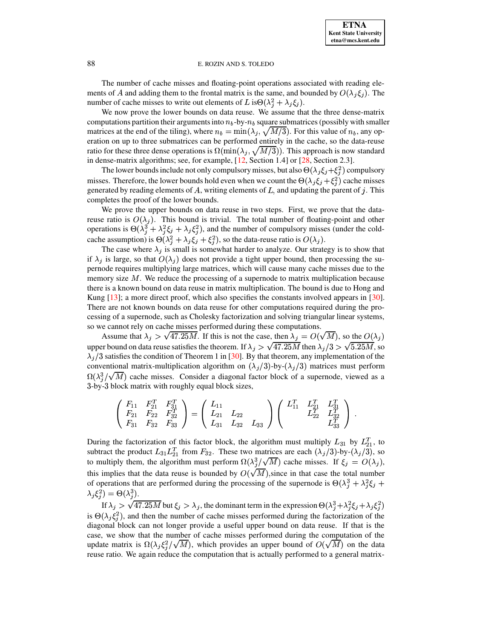The number of cache misses and floating-point operations associated with reading elements of A and adding them to the frontal matrix is the same, and bounded by  $O(\lambda_i \xi_i)$ . The number of cache misses to write out elements of L is $\Theta(\lambda_i^2 + \lambda_j \xi_i)$ .

We now prove the lower bounds on data reuse. We assume that the three dense-matrix computations partition their arguments into  $n_b$ -by- $n_b$  square submatrices (possibly with smaller matrices at the end of the tiling), where  $n_b = \min(\lambda_j, \sqrt{M/3})$ . For this value of  $n_b$ , any operation on up to three submatrices can be performed entirely in the cache, so the data-reuse ratio for these three dense operations is  $\Omega(\min(\lambda_j, \sqrt{M/3}))$ . This approach is now standard in dense-matrix algorithms; see, for example, [\[12,](#page-24-11) Section 1.4] or [\[28,](#page-25-9) Section 2.3].

The lower bounds include not only compulsory misses, but also  $\Theta(\lambda_j \xi_j + \xi_j^2)$  compulsory misses. Therefore, the lower bounds hold even when we count the  $\Theta(\lambda_j \xi_j + \xi_j^2)$  cache misses generated by reading elements of  $A$ , writing elements of  $L$ , and updating the parent of  $j$ . This completes the proof of the lower bounds.

We prove the upper bounds on data reuse in two steps. First, we prove that the datareuse ratio is  $O(\lambda_j)$ . This bound is trivial. The total number of floating-point and other operations is  $\Theta(\lambda_i^3 + \lambda_i^2 \xi_i + \lambda_i \xi_i^2)$ , and the number of compulsory misses (under the coldcache assumption) is  $\Theta(\lambda_i^2 + \lambda_i \xi_i + \xi_i^2)$ , so the data-reuse ratio is  $O(\lambda_i)$ .

The case where  $\lambda_i$  is small is somewhat harder to analyze. Our strategy is to show that if  $\lambda_i$  is large, so that  $O(\lambda_i)$  does not provide a tight upper bound, then processing the supernode requires multiplying large matrices, which will cause many cache misses due to the memory size  $M$ . We reduce the processing of a supernode to matrix multiplication because there is a known bound on data reuse in matrix multiplication. The bound is due to Hong and Kung [\[13\]](#page-24-7); a more direct proof, which also specifies the constants involved appears in [\[30\]](#page-25-10). There are not known bounds on data reuse for other computations required during the processing of a supernode, such as Cholesky factorization and solving triangular linear systems, so we cannot rely on cache misses performed during these computations.

Assume that  $\lambda_j > \sqrt{47.25M}$ . If this is not the case, then  $\lambda_j = O(\sqrt{M})$ , so the  $O(\lambda_j)$ upper bound on data reuse satisfies the theorem. If  $\lambda_j > \sqrt{47.25M}$  then  $\lambda_j/3 > \sqrt{5.25M}$ , so  $\lambda_i/3$  satisfies the condition of Theorem 1 in [\[30\]](#page-25-10). By that theorem, any implementation of the conventional matrix-multiplication algorithm on  $(\lambda_j/3)$ -by- $(\lambda_j/3)$  matrices must perform  $\Omega(\lambda_i^3/\sqrt{M})$  cache misses. Consider a diagonal factor block of a supernode, viewed as a <sup>A</sup>-by-<sup>A</sup> block matrix with roughly equal block sizes,

$$
\left(\begin{array}{ccc} F_{11} & F_{21}^T & F_{31}^T \\ F_{21} & F_{22} & F_{32}^T \\ F_{31} & F_{32} & F_{33} \end{array}\right) = \left(\begin{array}{ccc} L_{11} & & \\ L_{21} & L_{22} & \\ L_{31} & L_{32} & L_{33} \end{array}\right) \left(\begin{array}{ccc} L_{11}^T & L_{21}^T & L_{31}^T \\ L_{22}^T & L_{32}^T & \\ & L_{33}^T & \\ \end{array}\right) \, .
$$

During the factorization of this factor block, the algorithm must multiply  $L_{31}$  by  $L_{21}^T$ , to subtract the product  $L_{31}L_{21}^{T}$  from  $F_{32}$ . These two matrices are each  $(\lambda_j/3)$ -by- $(\lambda_j/3)$ , so to multiply them, the algorithm must perform  $\Omega(\lambda_i^3/\sqrt{M})$  cache misses. If  $\xi_j = O(\lambda_j)$ , this implies that the data reuse is bounded by  $O(\sqrt{M})$ , since in that case the total number of operations that are performed during the processing of the supernode is  $\Theta(\lambda_i^3 + \lambda_i^2 \xi_i +$  $\lambda_i \xi_i^2$ ) =  $\Theta(\lambda_i^3)$ .

If  $\lambda_j > \sqrt{47.25M}$  but  $\xi_j > \lambda_j$ , the dominant term in the expression  $\Theta(\lambda_j^3 + \lambda_j^2 \xi_j + \lambda_j \xi_j^2)$ is  $\Theta(\lambda_i \xi_i^2)$ , and then the number of cache misses performed during the factorization of the diagonal block can not longer provide a useful upper bound on data reuse. If that is the case, we show that the number of cache misses performed during the computation of the update matrix is  $\Omega(\lambda_j \xi_j^2/\sqrt{M})$ , which provides an upper bound of  $O(\sqrt{M})$  on the data reuse ratio. We again reduce the computation that is actually performed to a general matrix-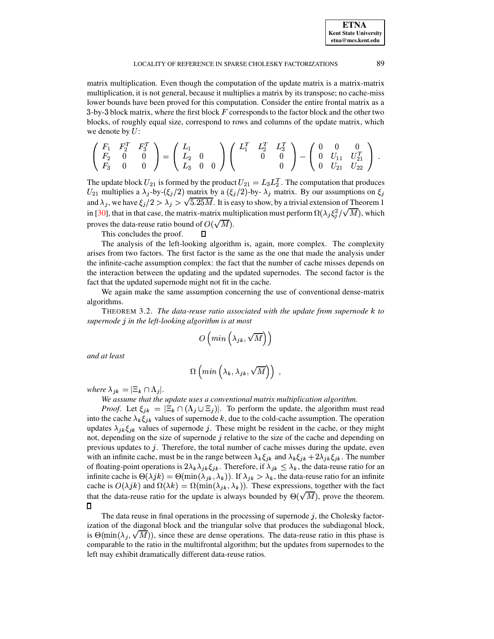matrix multiplication. Even though the computation of the update matrix is a matrix-matrix multiplication, it is not general, because it multiplies a matrix by its transpose; no cache-miss lower bounds have been proved for this computation. Consider the entire frontal matrix as a  $3$ -by- $3$  block matrix, where the first block  $F$  corresponds to the factor block and the other two blocks, of roughly equal size, correspond to rows and columns of the update matrix, which we denote by  $U$ :

$$
\left(\begin{array}{ccc} F_1 & F_2^T & F_3^T \\ F_2 & 0 & 0 \\ F_3 & 0 & 0 \end{array}\right) = \left(\begin{array}{ccc} L_1 & & \\ L_2 & 0 & \\ L_3 & 0 & 0 \end{array}\right) \left(\begin{array}{ccc} L_1^T & L_2^T & L_3^T \\ 0 & 0 & 0 \\ 0 & 0 & -\left(\begin{array}{ccc} 0 & 0 & 0 \\ 0 & U_{11} & U_{21}^T \\ 0 & U_{21} & U_{22} \end{array}\right) \end{array}\right) \; .
$$

The update block  $U_{21}$  is formed by the product  $U_{21} = L_3 L_2^T$ . The computation that produces  $U_{21}$  multiplies a  $\lambda_j$ -by- $(\xi_j/2)$  matrix by a  $(\xi_j/2)$ -by- $\lambda_j$  matrix. By our assumptions on  $\xi_j$ and  $\lambda_j$ , we have  $\xi_j/2 > \lambda_j > \sqrt{5.25M}$ . It is easy to show, by a trivial extension of Theorem 1 in [\[30\]](#page-25-10), that in that case, the matrix-matrix multiplication must perform  $\Omega(\lambda_j \xi_j^2/\sqrt{M})$ , which proves the data-reuse ratio bound of  $O(\sqrt{M})$ .

This concludes the proof.

The analysis of the left-looking algorithm is, again, more complex. The complexity arises from two factors. The first factor is the same as the one that made the analysis under the infinite-cache assumption complex: the fact that the number of cache misses depends on the interaction between the updating and the updated supernodes. The second factor is the fact that the updated supernode might not fit in the cache.

П

<span id="page-8-0"></span>We again make the same assumption concerning the use of conventional dense-matrix algorithms.

**THEOREM 3.2.** The data-reuse ratio associated with the update from supernode k to *supernode in the left-looking algorithm is at most*

$$
O\left(min\left(\lambda_{jk},\sqrt{M}\right)\right)
$$

*and at least*

$$
\Omega\left(min\left(\lambda_k,\lambda_{jk},\sqrt{M}\right)\right)\;,
$$

*where*  $\lambda_{jk} = |\Xi_k \cap \Lambda_j|.$ 

*We assume that the update uses a conventional matrix multiplication algorithm.*

*Proof.* Let  $\xi_{jk} = |\Xi_k \cap (\Lambda_j \cup \Xi_j)|$ . To perform the update, the algorithm must read into the cache  $\lambda_k \xi_{jk}$  values of supernode k, due to the cold-cache assumption. The operation updates  $\lambda_{jk}\xi_{jk}$  values of supernode j. These might be resident in the cache, or they might not, depending on the size of supernode  $j$  relative to the size of the cache and depending on previous updates to  $j$ . Therefore, the total number of cache misses during the update, even with an infinite cache, must be in the range between  $\lambda_k \xi_{jk}$  and  $\lambda_k \xi_{jk} + 2\lambda_{jk} \xi_{jk}$ . The number of floating-point operations is  $2\lambda_k \lambda_{jk} \xi_{jk}$ . Therefore, if  $\lambda_{jk} \leq \lambda_k$ , the data-reuse ratio for an infinite cache is  $\Theta(\lambda jk) = \Theta(\min(\lambda_{jk}, \lambda_k))$ . If  $\lambda_{jk} > \lambda_k$ , the data-reuse ratio for an infinite cache is  $O(\lambda jk)$  and  $\Omega(\lambda k) = \Omega(\min(\lambda j_k, \lambda_k))$ . These expressions, together with the fact that the data-reuse ratio for the update is always bounded by  $\Theta(\sqrt{M})$ , prove the theorem.  $\Box$ 

The data reuse in final operations in the processing of supernode  $j$ , the Cholesky factorization of the diagonal block and the triangular solve that produces the subdiagonal block, is  $\Theta(\min(\lambda_i, \sqrt{M}))$ , since these are dense operations. The data-reuse ratio in this phase is comparable to the ratio in the multifrontal algorithm; but the updates from supernodes to the left may exhibit dramatically different data-reuse ratios.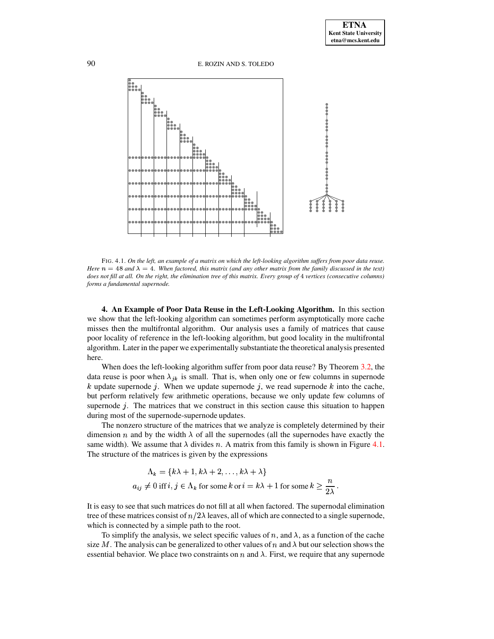90 E. ROZIN AND S. TOLEDO



<span id="page-9-1"></span>FIG. 4.1. On the left, an example of a matrix on which the left-looking algorithm suffers from poor data reuse. Here  $n = 48$  and  $\lambda = 4$ . When factored, this matrix (and any other matrix from the family discussed in the text) does not fill at all. On the right, the elimination tree of this matrix. Every group of 4 vertices (consecutive columns) *forms a fundamental supernode.*

<span id="page-9-0"></span>**4. An Example of Poor Data Reuse in the Left-Looking Algorithm.** In this section we show that the left-looking algorithm can sometimes perform asymptotically more cache misses then the multifrontal algorithm. Our analysis uses a family of matrices that cause poor locality of reference in the left-looking algorithm, but good locality in the multifrontal algorithm. Later in the paper we experimentally substantiate the theoretical analysis presented here.

When does the left-looking algorithm suffer from poor data reuse? By Theorem [3.2,](#page-8-0) the data reuse is poor when  $\lambda_{jk}$  is small. That is, when only one or few columns in supernode k update supernode *j*. When we update supernode *j*, we read supernode k into the cache, but perform relatively few arithmetic operations, because we only update few columns of supernode  $j$ . The matrices that we construct in this section cause this situation to happen during most of the supernode-supernode updates.

The nonzero structure of the matrices that we analyze is completely determined by their dimension *n* and by the width  $\lambda$  of all the supernodes (all the supernodes have exactly the same width). We assume that  $\lambda$  divides n. A matrix from this family is shown in Figure [4.1.](#page-9-1) The structure of the matrices is given by the expressions

$$
\Lambda_k = \{k\lambda + 1, k\lambda + 2, \dots, k\lambda + \lambda\}
$$
  

$$
a_{ij} \neq 0 \text{ iff } i, j \in \Lambda_k \text{ for some } k \text{ or } i = k\lambda + 1 \text{ for some } k \geq \frac{n}{2\lambda}.
$$

It is easy to see that such matrices do not fill at all when factored. The supernodal elimination tree of these matrices consist of  $n/2\lambda$  leaves, all of which are connected to a single supernode, which is connected by a simple path to the root.

To simplify the analysis, we select specific values of n, and  $\lambda$ , as a function of the cache size M. The analysis can be generalized to other values of n and  $\lambda$  but our selection shows the essential behavior. We place two constraints on n and  $\lambda$ . First, we require that any supernode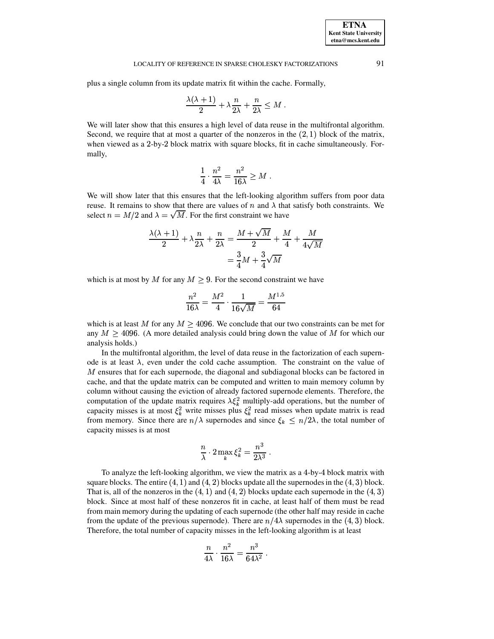plus a single column from its update matrix fit within the cache. Formally,

$$
\frac{\lambda(\lambda+1)}{2} + \lambda \frac{n}{2\lambda} + \frac{n}{2\lambda} \le M.
$$

We will later show that this ensures a high level of data reuse in the multifrontal algorithm. Second, we require that at most a quarter of the nonzeros in the  $(2, 1)$  block of the matrix, when viewed as a 2-by-2 block matrix with square blocks, fit in cache simultaneously. Formally,

$$
\frac{1}{4} \cdot \frac{n^2}{4\lambda} = \frac{n^2}{16\lambda} \ge M \; .
$$

We will show later that this ensures that the left-looking algorithm suffers from poor data reuse. It remains to show that there are values of n and  $\lambda$  that satisfy both constraints. We select  $n = M/2$  and  $\lambda = \sqrt{M}$ . For the first constraint we have

$$
\frac{\lambda(\lambda+1)}{2} + \lambda \frac{n}{2\lambda} + \frac{n}{2\lambda} = \frac{M + \sqrt{M}}{2} + \frac{M}{4} + \frac{M}{4\sqrt{M}}
$$

$$
= \frac{3}{4}M + \frac{3}{4}\sqrt{M}
$$

which is at most by M for any  $M \geq 9$ . For the second constraint we have

$$
\frac{n^2}{16\lambda} = \frac{M^2}{4} \cdot \frac{1}{16\sqrt{M}} = \frac{M^{1.5}}{64}
$$

which is at least M for any  $M \geq 4096$ . We conclude that our two constraints can be met for any  $M > 4096$ . (A more detailed analysis could bring down the value of M for which our analysis holds.)

In the multifrontal algorithm, the level of data reuse in the factorization of each supernode is at least  $\lambda$ , even under the cold cache assumption. The constraint on the value of  $M$  ensures that for each supernode, the diagonal and subdiagonal blocks can be factored in cache, and that the update matrix can be computed and written to main memory column by column without causing the eviction of already factored supernode elements. Therefore, the computation of the update matrix requires  $\lambda \xi_k^2$  multiply-add operations, but the number of capacity misses is at most  $\xi_k^2$  write misses plus  $\xi_k^2$  read misses when update matrix is read from memory. Since there are  $n/\lambda$  supernodes and since  $\xi_k \leq n/2\lambda$ , the total number of capacity misses is at most

$$
\frac{n}{\lambda} \cdot 2 \max_k \xi_k^2 = \frac{n^3}{2 \lambda^3} \ .
$$

To analyze the left-looking algorithm, we view the matrix as a 4-by-4 block matrix with square blocks. The entire  $(4, 1)$  and  $(4, 2)$  blocks update all the supernodes in the  $(4, 3)$  block. That is, all of the nonzeros in the  $(4, 1)$  and  $(4, 2)$  blocks update each supernode in the  $(4, 3)$ block. Since at most half of these nonzeros fit in cache, at least half of them must be read from main memory during the updating of each supernode (the other half may reside in cache from the update of the previous supernode). There are  $n/4\lambda$  supernodes in the (4, 3) block. Therefore, the total number of capacity misses in the left-looking algorithm is at least

$$
\frac{n}{4\lambda}\cdot\frac{n^2}{16\lambda}=\frac{n^3}{64\lambda^2}\;.
$$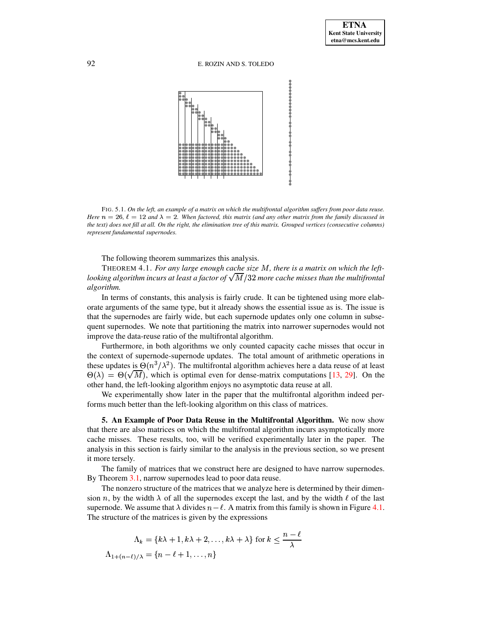

FIG. 5.1. On the left, an example of a matrix on which the multifrontal algorithm suffers from poor data reuse. *Here*  $n = 26$ ,  $\ell = 12$  *and*  $\lambda = 2$ . When factored, this matrix (and any other matrix from the family discussed in the text) does not fill at all. On the right, the elimination tree of this matrix. Grouped vertices (consecutive columns) *represent fundamental supernodes.*

The following theorem summarizes this analysis.

THEOREM 4.1. *For any large enough cache size M*, *there is a matrix on which the leftlooking algorithm incurs at least a factor of*  $\sqrt{M}/32$  *more cache misses than the multifrontal algorithm.*

In terms of constants, this analysis is fairly crude. It can be tightened using more elaborate arguments of the same type, but it already shows the essential issue as is. The issue is that the supernodes are fairly wide, but each supernode updates only one column in subsequent supernodes. We note that partitioning the matrix into narrower supernodes would not improve the data-reuse ratio of the multifrontal algorithm.

Furthermore, in both algorithms we only counted capacity cache misses that occur in the context of supernode-supernode updates. The total amount of arithmetic operations in these updates is  $\Theta(n^3/\lambda^2)$ . The multifrontal algorithm achieves here a data reuse of at least  $\Theta(\lambda) = \Theta(\sqrt{M})$ , which is optimal even for dense-matrix computations [\[13,](#page-24-7) [29\]](#page-25-6). On the other hand, the left-looking algorithm enjoys no asymptotic data reuse at all.

We experimentally show later in the paper that the multifrontal algorithm indeed performs much better than the left-looking algorithm on this class of matrices.

<span id="page-11-0"></span>**5. An Example of Poor Data Reuse in the Multifrontal Algorithm.** We now show that there are also matrices on which the multifrontal algorithm incurs asymptotically more cache misses. These results, too, will be verified experimentally later in the paper. The analysis in this section is fairly similar to the analysis in the previous section, so we present it more tersely.

The family of matrices that we construct here are designed to have narrow supernodes. By Theorem [3.1,](#page-6-0) narrow supernodes lead to poor data reuse.

The nonzero structure of the matrices that we analyze here is determined by their dimension *n*, by the width  $\lambda$  of all the supernodes except the last, and by the width  $\ell$  of the last supernode. We assume that  $\lambda$  divides  $n - \ell$ . A matrix from this family is shown in Figure [4.1.](#page-9-1) The structure of the matrices is given by the expressions

$$
\Lambda_k = \{k\lambda + 1, k\lambda + 2, \dots, k\lambda + \lambda\} \text{ for } k \le \frac{n - \ell}{\lambda}
$$

$$
\Lambda_{1 + (n - \ell)/\lambda} = \{n - \ell + 1, \dots, n\}
$$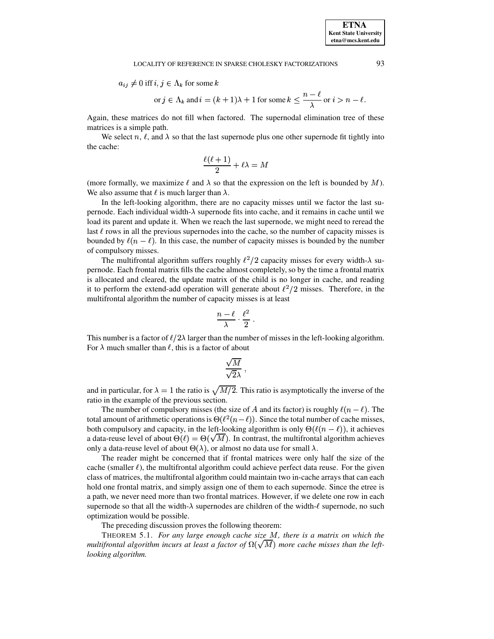$a_{ij} \neq 0$  iff  $i, j \in \Lambda_k$  for some k

$$
\text{or } j \in \Lambda_k \text{ and } i = (k+1)\lambda + 1 \text{ for some } k \le \frac{n-\ell}{\lambda} \text{ or } i > n-\ell.
$$

Again, these matrices do not fill when factored. The supernodal elimination tree of these matrices is a simple path.

We select n,  $\ell$ , and  $\lambda$  so that the last supernode plus one other supernode fit tightly into the cache:

$$
\frac{\ell(\ell+1)}{2}+\ell\lambda=M
$$

(more formally, we maximize  $\ell$  and  $\lambda$  so that the expression on the left is bounded by M). We also assume that  $\ell$  is much larger than  $\lambda$ .

In the left-looking algorithm, there are no capacity misses until we factor the last supernode. Each individual width- $\lambda$  supernode fits into cache, and it remains in cache until we load its parent and update it. When we reach the last supernode, we might need to reread the last  $\ell$  rows in all the previous supernodes into the cache, so the number of capacity misses is bounded by  $\ell(n-\ell)$ . In this case, the number of capacity misses is bounded by the number of compulsory misses.

The multifrontal algorithm suffers roughly  $\ell^2/2$  capacity misses for every width- $\lambda$  supernode. Each frontal matrix fills the cache almost completely, so by the time a frontal matrix is allocated and cleared, the update matrix of the child is no longer in cache, and reading it to perform the extend-add operation will generate about  $\ell^2/2$  misses. Therefore, in the multifrontal algorithm the number of capacity misses is at least

$$
\frac{n-\ell}{\lambda}\cdot\frac{\ell^2}{2}\;.
$$

This number is a factor of  $\ell/2\lambda$  larger than the number of misses in the left-looking algorithm. For  $\lambda$  much smaller than  $\ell$ , this is a factor of about

$$
\frac{\sqrt{M}}{\sqrt{2}\lambda}\ ,
$$

and in particular, for  $\lambda = 1$  the ratio is  $\sqrt{M/2}$ . This ratio is asymptotically the inverse of the ratio in the example of the previous section.

The number of compulsory misses (the size of A and its factor) is roughly  $\ell(n - \ell)$ . The total amount of arithmetic operations is  $\Theta(\ell^2(n-\ell))$ . Since the total number of cache misses, both compulsory and capacity, in the left-looking algorithm is only  $\Theta(\ell(n - \ell))$ , it achieves a data-reuse level of about  $\Theta(\ell) = \Theta(\sqrt{M})$ . In contrast, the multifrontal algorithm achieves only a data-reuse level of about  $\Theta(\lambda)$ , or almost no data use for small  $\lambda$ .

The reader might be concerned that if frontal matrices were only half the size of the cache (smaller  $\ell$ ), the multifrontal algorithm could achieve perfect data reuse. For the given class of matrices, the multifrontal algorithm could maintain two in-cache arrays that can each hold one frontal matrix, and simply assign one of them to each supernode. Since the etree is a path, we never need more than two frontal matrices. However, if we delete one row in each supernode so that all the width- $\lambda$  supernodes are children of the width- $\ell$  supernode, no such optimization would be possible.

The preceding discussion proves the following theorem:

THEOREM 5.1. *For any large enough cache size , there is a matrix on which the multifrontal algorithm incurs at least a factor of*  $\Omega(\sqrt{M})$  *more cache misses than the leftlooking algorithm.*

**ETNA Kent State University etna@mcs.kent.edu**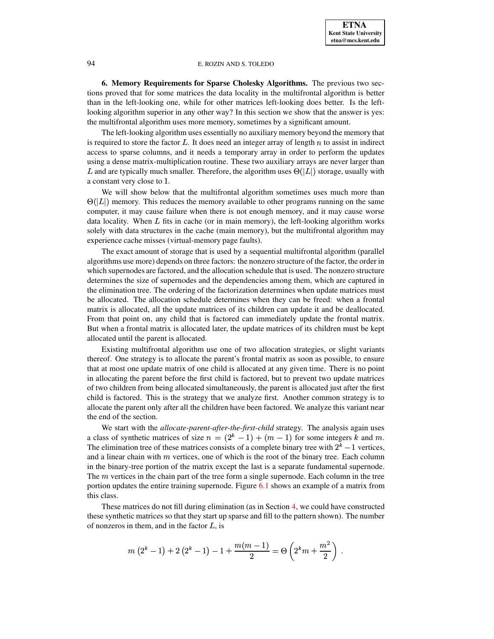<span id="page-13-0"></span>**6. Memory Requirements for Sparse Cholesky Algorithms.** The previous two sections proved that for some matrices the data locality in the multifrontal algorithm is better than in the left-looking one, while for other matrices left-looking does better. Is the leftlooking algorithm superior in any other way? In this section we show that the answer is yes: the multifrontal algorithm uses more memory, sometimes by a significant amount.

The left-looking algorithm uses essentially no auxiliary memory beyond the memory that is required to store the factor  $L$ . It does need an integer array of length  $n$  to assist in indirect access to sparse columns, and it needs a temporary array in order to perform the updates using a dense matrix-multiplication routine. These two auxiliary arrays are never larger than L and are typically much smaller. Therefore, the algorithm uses  $\Theta(|L|)$  storage, usually with a constant very close to 1.

We will show below that the multifrontal algorithm sometimes uses much more than  $\Theta(|L|)$  memory. This reduces the memory available to other programs running on the same computer, it may cause failure when there is not enough memory, and it may cause worse data locality. When  $L$  fits in cache (or in main memory), the left-looking algorithm works solely with data structures in the cache (main memory), but the multifrontal algorithm may experience cache misses (virtual-memory page faults).

The exact amount of storage that is used by a sequential multifrontal algorithm (parallel algorithms use more) depends on three factors: the nonzero structure of the factor, the order in which supernodes are factored, and the allocation schedule that is used. The nonzero structure determines the size of supernodes and the dependencies among them, which are captured in the elimination tree. The ordering of the factorization determines when update matrices must be allocated. The allocation schedule determines when they can be freed: when a frontal matrix is allocated, all the update matrices of its children can update it and be deallocated. From that point on, any child that is factored can immediately update the frontal matrix. But when a frontal matrix is allocated later, the update matrices of its children must be kept allocated until the parent is allocated.

Existing multifrontal algorithm use one of two allocation strategies, or slight variants thereof. One strategy is to allocate the parent's frontal matrix as soon as possible, to ensure that at most one update matrix of one child is allocated at any given time. There is no point in allocating the parent before the first child is factored, but to prevent two update matrices of two children from being allocated simultaneously, the parent is allocated just after the first child is factored. This is the strategy that we analyze first. Another common strategy is to allocate the parent only after all the children have been factored. We analyze this variant near the end of the section.

We start with the *allocate-parent-after-the-first-child* strategy. The analysis again uses a class of synthetic matrices of size  $n = (2<sup>k</sup> - 1) + (m - 1)$  for some integers k and m. The elimination tree of these matrices consists of a complete binary tree with  $2^k - 1$  vertices, and a linear chain with  $m$  vertices, one of which is the root of the binary tree. Each column in the binary-tree portion of the matrix except the last is a separate fundamental supernode. The  $m$  vertices in the chain part of the tree form a single supernode. Each column in the tree portion updates the entire training supernode. Figure [6.1](#page-14-0) shows an example of a matrix from this class.

These matrices do not fill during elimination (as in Section [4,](#page-9-0) we could have constructed these synthetic matrices so that they start up sparse and fill to the pattern shown). The number of nonzeros in them, and in the factor  $L$ , is

$$
m\left(2^k-1\right)+2\left(2^k-1\right)-1+\frac{m(m-1)}{2}=\Theta\left(2^km+\frac{m^2}{2}\right)\:.
$$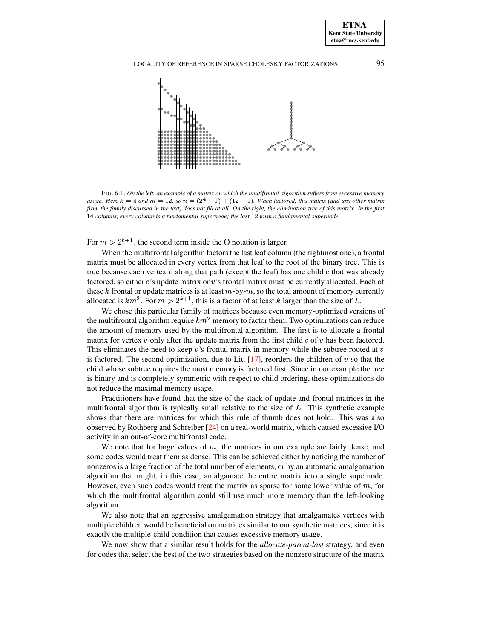

<span id="page-14-0"></span>FIG. 6.1. On the left, an example of a matrix on which the multifrontal algorithm suffers from excessive memory *usage. Here*  $k = 4$  *and*  $m = 12$ , so  $n = (2^4 - 1) + (12 - 1)$ . When factored, this matrix (and any other matrix from the family discussed in the text) does not fill at all. On the right, the elimination tree of this matrix. In the first Ðq¾ *columns, every column is a fundamental supernode; the last* ÐMÍ *form a fundamental supernode.*

For  $m > 2^{k+1}$ , the second term inside the  $\Theta$  notation is larger.

When the multifrontal algorithm factors the last leaf column (the rightmost one), a frontal matrix must be allocated in every vertex from that leaf to the root of the binary tree. This is true because each vertex  $v$  along that path (except the leaf) has one child  $c$  that was already factored, so either  $\vec{c}$ 's update matrix or  $\vec{v}$ 's frontal matrix must be currently allocated. Each of these k frontal or update matrices is at least  $m$ -by- $m$ , so the total amount of memory currently allocated is  $km^2$ . For  $m > 2^{k+1}$ , this is a factor of at least k larger than the size of L.

We chose this particular family of matrices because even memory-optimized versions of the multifrontal algorithm require  $km^2$  memory to factor them. Two optimizations can reduce the amount of memory used by the multifrontal algorithm. The first is to allocate a frontal matrix for vertex  $v$  only after the update matrix from the first child  $c$  of  $v$  has been factored. This eliminates the need to keep  $v$ 's frontal matrix in memory while the subtree rooted at  $v$ is factored. The second optimization, due to Liu  $[17]$ , reorders the children of v so that the child whose subtree requires the most memory is factored first. Since in our example the tree is binary and is completely symmetric with respect to child ordering, these optimizations do not reduce the maximal memory usage.

Practitioners have found that the size of the stack of update and frontal matrices in the multifrontal algorithm is typically small relative to the size of  $L$ . This synthetic example shows that there are matrices for which this rule of thumb does not hold. This was also observed by Rothberg and Schreiber [\[24\]](#page-25-7) on a real-world matrix, which caused excessive I/O activity in an out-of-core multifrontal code.

We note that for large values of  $m$ , the matrices in our example are fairly dense, and some codes would treat them as dense. This can be achieved either by noticing the number of nonzeros is a large fraction of the total number of elements, or by an automatic amalgamation algorithm that might, in this case, amalgamate the entire matrix into a single supernode. However, even such codes would treat the matrix as sparse for some lower value of  $m$ , for which the multifrontal algorithm could still use much more memory than the left-looking algorithm.

We also note that an aggressive amalgamation strategy that amalgamates vertices with multiple children would be beneficial on matrices similar to our synthetic matrices, since it is exactly the multiple-child condition that causes excessive memory usage.

We now show that a similar result holds for the *allocate-parent-last* strategy, and even for codes that select the best of the two strategies based on the nonzero structure of the matrix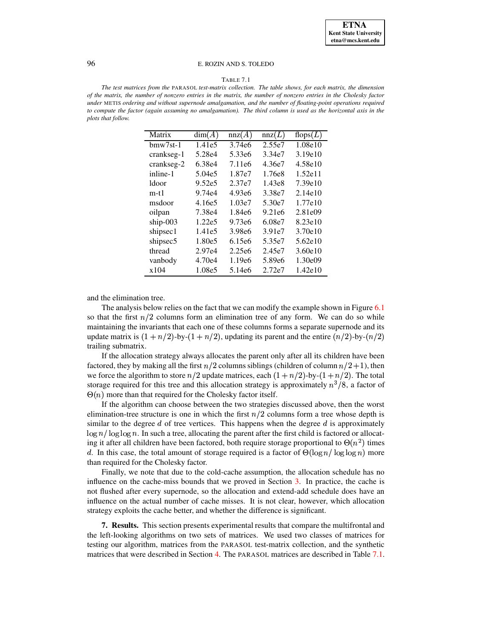#### TABLE 7.1

<span id="page-15-1"></span>*The test matrices from the* PARASOL *test-matrix collection. The table shows, for each matrix, the dimension* of the matrix, the number of nonzero entries in the matrix, the number of nonzero entries in the Cholesky factor *under* METIS *ordering and without supernode amalgamation, and the number of floating-point operations required* to compute the factor (again assuming no amalgamation). The third column is used as the horizontal axis in the *plots that follow.*

| Matrix          | dim(A) | nnz(A)             | nnz(L)             | flops $(L)$ |
|-----------------|--------|--------------------|--------------------|-------------|
| $h$ mw $7$ st-1 | 1.41e5 | 3.74e <sub>6</sub> | 2.55e7             | 1.08e10     |
| crankseg-1      | 5.28e4 | 5.33e <sub>6</sub> | 3.34e7             | 3.19e10     |
| crankseg-2      | 6.38e4 | 7.11e <sub>6</sub> | 4.36e7             | 4.58e10     |
| inline-1        | 5.04e5 | 1.87e7             | 1.76e8             | 1.52e11     |
| ldoor           | 9.52e5 | 2.37e7             | 1.43e8             | 7.39e10     |
| $m-t1$          | 9.74e4 | 4.93e6             | 3.38e7             | 2.14e10     |
| msdoor          | 4.16e5 | 1.03e7             | 5.30e7             | 1.77e10     |
| oilpan          | 7.38e4 | 1.84e <sub>6</sub> | 9.21e6             | 2.81e09     |
| ship- $003$     | 1.22e5 | 9.73e <sub>6</sub> | 6.08e7             | 8.23e10     |
| shipsec1        | 1.41e5 | 3.98e <sub>6</sub> | 3.91e7             | 3.70e10     |
| shipsec5        | 1.80e5 | 6.15e <sub>6</sub> | 5.35e7             | 5.62e10     |
| thread          | 2.97e4 | 2.25e6             | 2.45e7             | 3.60e10     |
| vanbody         | 4.70e4 | 1.19e6             | 5.89e <sub>6</sub> | 1.30e09     |
| x104            | 1.08e5 | 5.14e <sub>6</sub> | 2.72e7             | 1.42e10     |

and the elimination tree.

The analysis below relies on the fact that we can modify the example shown in Figure [6.1](#page-14-0) so that the first  $n/2$  columns form an elimination tree of any form. We can do so while maintaining the invariants that each one of these columns forms a separate supernode and its update matrix is  $(1 + n/2)$ -by- $(1 + n/2)$ , updating its parent and the entire  $(n/2)$ -by- $(n/2)$ trailing submatrix.

If the allocation strategy always allocates the parent only after all its children have been factored, they by making all the first  $n/2$  columns siblings (children of column  $n/2+1$ ), then we force the algorithm to store  $n/2$  update matrices, each  $(1 + n/2)$ -by- $(1 + n/2)$ . The total storage required for this tree and this allocation strategy is approximately  $n^{3}/8$ , a factor of  $\Theta(n)$  more than that required for the Cholesky factor itself.

If the algorithm can choose between the two strategies discussed above, then the worst elimination-tree structure is one in which the first  $n/2$  columns form a tree whose depth is similar to the degree  $d$  of tree vertices. This happens when the degree  $d$  is approximately  $\log n / \log \log n$ . In such a tree, allocating the parent after the first child is factored or allocating it after all children have been factored, both require storage proportional to  $\Theta(n^2)$  times d. In this case, the total amount of storage required is a factor of  $\Theta(\log n / \log \log n)$  more than required for the Cholesky factor.

Finally, we note that due to the cold-cache assumption, the allocation schedule has no influence on the cache-miss bounds that we proved in Section [3.](#page-4-0) In practice, the cache is not flushed after every supernode, so the allocation and extend-add schedule does have an influence on the actual number of cache misses. It is not clear, however, which allocation strategy exploits the cache better, and whether the difference is significant.

<span id="page-15-0"></span>**7. Results.** This section presents experimental results that compare the multifrontal and the left-looking algorithms on two sets of matrices. We used two classes of matrices for testing our algorithm, matrices from the PARASOL test-matrix collection, and the synthetic matrices that were described in Section [4.](#page-9-0) The PARASOL matrices are described in Table [7.1.](#page-15-1)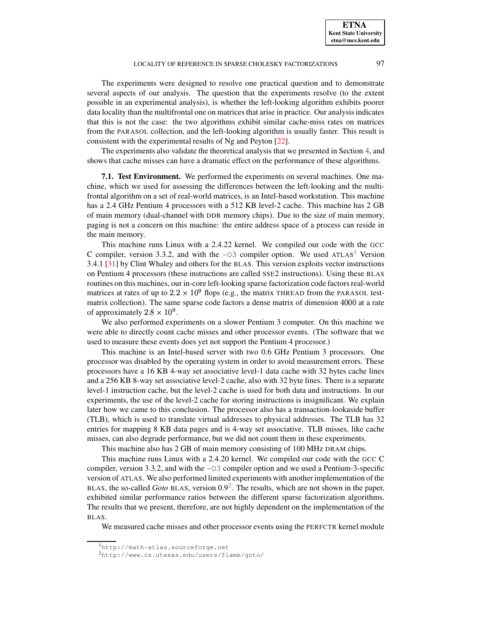The experiments were designed to resolve one practical question and to demonstrate several aspects of our analysis. The question that the experiments resolve (to the extent possible in an experimental analysis), is whether the left-looking algorithm exhibits poorer data locality than the multifrontal one on matrices that arise in practice. Our analysis indicates that this is not the case: the two algorithms exhibit similar cache-miss rates on matrices from the PARASOL collection, and the left-looking algorithm is usually faster. This result is consistent with the experimental results of Ng and Peyton [\[22\]](#page-25-1).

The experiments also validate the theoretical analysis that we presented in Section [4,](#page-9-0) and shows that cache misses can have a dramatic effect on the performance of these algorithms.

**7.1. Test Environment.** We performed the experiments on several machines. One machine, which we used for assessing the differences between the left-looking and the multifrontal algorithm on a set of real-world matrices, is an Intel-based workstation. This machine has a 2.4 GHz Pentium 4 processors with a 512 KB level-2 cache. This machine has 2 GB of main memory (dual-channel with DDR memory chips). Due to the size of main memory, paging is not a concern on this machine: the entire address space of a process can reside in the main memory.

This machine runs Linux with a 2.4.22 kernel. We compiled our code with the GCC C compiler, version 3.3.2, and with the  $-03$  compiler option. We used ATLAS<sup>[1](#page-16-0)</sup> Version 3.4.1 [\[31\]](#page-25-11) by Clint Whaley and others for the BLAS. This version exploits vector instructions on Pentium 4 processors (these instructions are called SSE2 instructions). Using these BLAS routines on this machines, our in-core left-looking sparse factorization code factors real-world matrices at rates of up to  $2.2 \times 10^9$  flops (e.g., the matrix THREAD from the PARASOL testmatrix collection). The same sparse code factors a dense matrix of dimension 4000 at a rate of approximately  $2.8 \times 10^9$ .

We also performed experiments on a slower Pentium 3 computer. On this machine we were able to directly count cache misses and other processor events. (The software that we used to measure these events does yet not support the Pentium 4 processor.)

This machine is an Intel-based server with two 0.6 GHz Pentium 3 processors. One processor was disabled by the operating system in order to avoid measurement errors. These processors have a 16 KB 4-way set associative level-1 data cache with 32 bytes cache lines and a 256 KB 8-way set associative level-2 cache, also with 32 byte lines. There is a separate level-1 instruction cache, but the level-2 cache is used for both data and instructions. In our experiments, the use of the level-2 cache for storing instructions is insignificant. We explain later how we came to this conclusion. The processor also has a transaction-lookaside buffer (TLB), which is used to translate virtual addresses to physical addresses. The TLB has 32 entries for mapping 8 KB data pages and is 4-way set associative. TLB misses, like cache misses, can also degrade performance, but we did not count them in these experiments.

This machine also has 2 GB of main memory consisting of 100 MHz DRAM chips.

This machine runs Linux with a 2.4.20 kernel. We compiled our code with the GCC C compiler, version 3.3.2, and with the -O3 compiler option and we used a Pentium-3-specific version of ATLAS. We also performed limited experiments with anotherimplementation of the BLAS, the so-called *Goto* BLAS, version  $0.9<sup>2</sup>$  $0.9<sup>2</sup>$  $0.9<sup>2</sup>$ . The results, which are not shown in the paper, exhibited similar performance ratios between the different sparse factorization algorithms. The results that we present, therefore, are not highly dependent on the implementation of the BLAS.

We measured cache misses and other processor events using the PERFCTR kernel module

<sup>1</sup>http://math-atlas.sourceforge.net

<span id="page-16-1"></span><span id="page-16-0"></span><sup>2</sup>http://www.cs.utexas.edu/users/flame/goto/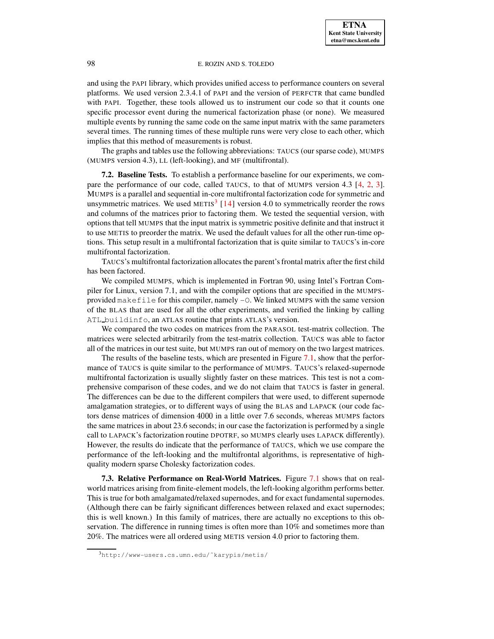and using the PAPI library, which provides unified access to performance counters on several platforms. We used version 2.3.4.1 of PAPI and the version of PERFCTR that came bundled with PAPI. Together, these tools allowed us to instrument our code so that it counts one specific processor event during the numerical factorization phase (or none). We measured multiple events by running the same code on the same input matrix with the same parameters several times. The running times of these multiple runs were very close to each other, which implies that this method of measurements is robust.

The graphs and tables use the following abbreviations: TAUCS (our sparse code), MUMPS (MUMPS version 4.3), LL (left-looking), and MF (multifrontal).

**7.2. Baseline Tests.** To establish a performance baseline for our experiments, we compare the performance of our code, called TAUCS, to that of MUMPS version 4.3 [\[4,](#page-24-13) [2,](#page-24-14) [3\]](#page-24-15). MUMPS is a parallel and sequential in-core multifrontal factorization code for symmetric and unsymmetric matrices. We used METIS<sup>[3](#page-17-0)</sup> [\[14\]](#page-24-16) version 4.0 to symmetrically reorder the rows and columns of the matrices prior to factoring them. We tested the sequential version, with options that tell MUMPS that the input matrix is symmetric positive definite and that instruct it to use METIS to preorder the matrix. We used the default values for all the other run-time options. This setup result in a multifrontal factorization that is quite similar to TAUCS's in-core multifrontal factorization.

TAUCS's multifrontal factorization allocates the parent'sfrontal matrix after the first child has been factored.

We compiled MUMPS, which is implemented in Fortran 90, using Intel's Fortran Compiler for Linux, version 7.1, and with the compiler options that are specified in the MUMPSprovided makefile for this compiler, namely  $-0$ . We linked MUMPS with the same version of the BLAS that are used for all the other experiments, and verified the linking by calling ATL buildinfo, an ATLAS routine that prints ATLAS's version.

We compared the two codes on matrices from the PARASOL test-matrix collection. The matrices were selected arbitrarily from the test-matrix collection. TAUCS was able to factor all of the matrices in our test suite, but MUMPS ran out of memory on the two largest matrices.

The results of the baseline tests, which are presented in Figure [7.1,](#page-18-0) show that the performance of TAUCS is quite similar to the performance of MUMPS. TAUCS's relaxed-supernode multifrontal factorization is usually slightly faster on these matrices. This test is not a comprehensive comparison of these codes, and we do not claim that TAUCS is faster in general. The differences can be due to the different compilers that were used, to different supernode amalgamation strategies, or to different ways of using the BLAS and LAPACK (our code factors dense matrices of dimension 4000 in a little over 7.6 seconds, whereas MUMPS factors the same matrices in about 23.6 seconds; in our case the factorization is performed by a single call to LAPACK's factorization routine DPOTRF, so MUMPS clearly uses LAPACK differently). However, the results do indicate that the performance of TAUCS, which we use compare the performance of the left-looking and the multifrontal algorithms, is representative of highquality modern sparse Cholesky factorization codes.

**7.3. Relative Performance on Real-World Matrices.** Figure [7.1](#page-18-0) shows that on realworld matrices arising from finite-element models, the left-looking algorithm performs better. This is true for both amalgamated/relaxed supernodes, and for exact fundamental supernodes. (Although there can be fairly significant differences between relaxed and exact supernodes; this is well known.) In this family of matrices, there are actually no exceptions to this observation. The difference in running times is often more than 10% and sometimes more than 20%. The matrices were all ordered using METIS version 4.0 prior to factoring them.

<span id="page-17-0"></span><sup>3</sup>http://www-users.cs.umn.edu/˜karypis/metis/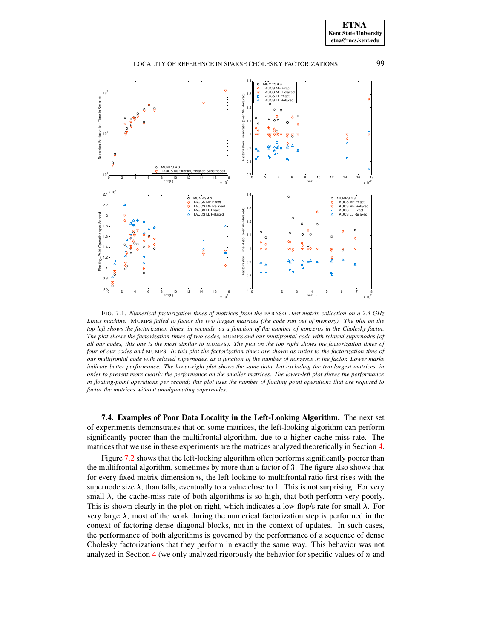# LOCALITY OF REFERENCE IN SPARSE CHOLESKY FACTORIZATIONS 99



<span id="page-18-0"></span>FIG. 7.1. *Numerical factorization times of matrices from the* PARASOL *test-matrix collection on a 2.4 GHz* Linux machine. MUMPS failed to factor the two largest matrices (the code ran out of memory). The plot on the top left shows the factorization times, in seconds, as a function of the number of nonzeros in the Cholesky factor. The plot shows the factorization times of two codes, MUMPS and our multifrontal code with relaxed supernodes (of all our codes, this one is the most similar to MUMPS). The plot on the top right shows the factorization times of four of our codes and MUMPS. In this plot the factorization times are shown as ratios to the factorization time of our multifrontal code with relaxed supernodes, as a function of the number of nonzeros in the factor. Lower marks indicate better performance. The lower-right plot shows the same data, but excluding the two largest matrices, in order to present more clearly the performance on the smaller matrices. The lower-left plot shows the performance in floating-point operations per second; this plot uses the number of floating point operations that are required to *factor the matrices without amalgamating supernodes.*

**7.4. Examples of Poor Data Locality in the Left-Looking Algorithm.** The next set of experiments demonstrates that on some matrices, the left-looking algorithm can perform significantly poorer than the multifrontal algorithm, due to a higher cache-miss rate. The matrices that we use in these experiments are the matrices analyzed theoretically in Section [4.](#page-9-0)

Figure [7.2](#page-19-0) shows that the left-looking algorithm often performs significantly poorer than the multifrontal algorithm, sometimes by more than a factor of 3. The figure also shows that for every fixed matrix dimension  $n$ , the left-looking-to-multifrontal ratio first rises with the supernode size  $\lambda$ , than falls, eventually to a value close to 1. This is not surprising. For very small  $\lambda$ , the cache-miss rate of both algorithms is so high, that both perform very poorly. This is shown clearly in the plot on right, which indicates a low flop/s rate for small  $\lambda$ . For very large  $\lambda$ , most of the work during the numerical factorization step is performed in the context of factoring dense diagonal blocks, not in the context of updates. In such cases, the performance of both algorithms is governed by the performance of a sequence of dense Cholesky factorizations that they perform in exactly the same way. This behavior was not analyzed in Section [4](#page-9-0) (we only analyzed rigorously the behavior for specific values of  $n$  and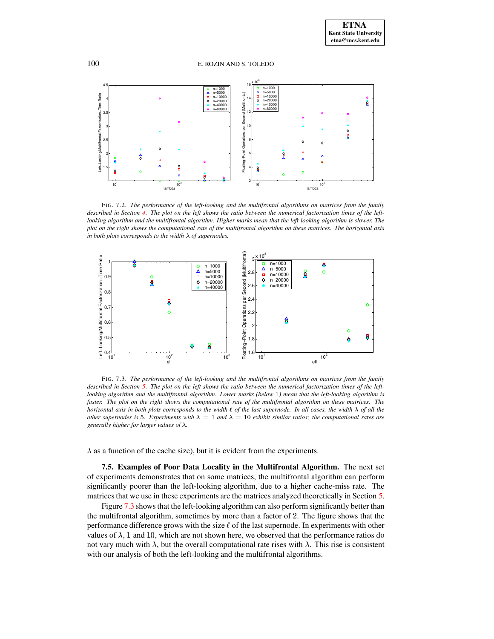#### 100 E. ROZIN AND S. TOLEDO



<span id="page-19-0"></span>FIG. 7.2. *The performance of the left-looking and the multifrontal algorithms on matrices from the family* described in Section [4.](#page-9-0) The plot on the left shows the ratio between the numerical factorization times of the leftlooking algorithm and the multifrontal algorithm. Higher marks mean that the left-looking algorithm is slower. The plot on the right shows the computational rate of the multifrontal algorithm on these matrices. The horizontal axis *in both plots corresponds to the width*  $\lambda$  *of supernodes.* 



<span id="page-19-1"></span>FIG. 7.3. *The performance of the left-looking and the multifrontal algorithms on matrices from the family* described in Section [5.](#page-11-0) The plot on the left shows the ratio between the numerical factorization times of the left*looking algorithm and the multifrontal algorithm. Lower marks (below* <sup>Ð</sup> *) mean that the left-looking algorithm is* faster. The plot on the right shows the computational rate of the multifrontal algorithm on these matrices. The horizontal axis in both plots corresponds to the width  $\ell$  of the last supernode. In all cases, the width  $\lambda$  of all the *other* supernodes is 5. Experiments with  $\lambda = 1$  and  $\lambda = 10$  exhibit similar ratios; the computational rates are *generally higher for larger values of*  $\lambda$ *.* 

 $\lambda$  as a function of the cache size), but it is evident from the experiments.

**7.5. Examples of Poor Data Locality in the Multifrontal Algorithm.** The next set of experiments demonstrates that on some matrices, the multifrontal algorithm can perform significantly poorer than the left-looking algorithm, due to a higher cache-miss rate. The matrices that we use in these experiments are the matrices analyzed theoretically in Section [5.](#page-11-0)

Figure [7.3](#page-19-1) shows that the left-looking algorithm can also perform significantly better than the multifrontal algorithm, sometimes by more than a factor of <sup>9</sup>. The figure shows that the performance difference grows with the size  $\ell$  of the last supernode. In experiments with other values of  $\lambda$ , 1 and 10, which are not shown here, we observed that the performance ratios do not vary much with  $\lambda$ , but the overall computational rate rises with  $\lambda$ . This rise is consistent with our analysis of both the left-looking and the multifrontal algorithms.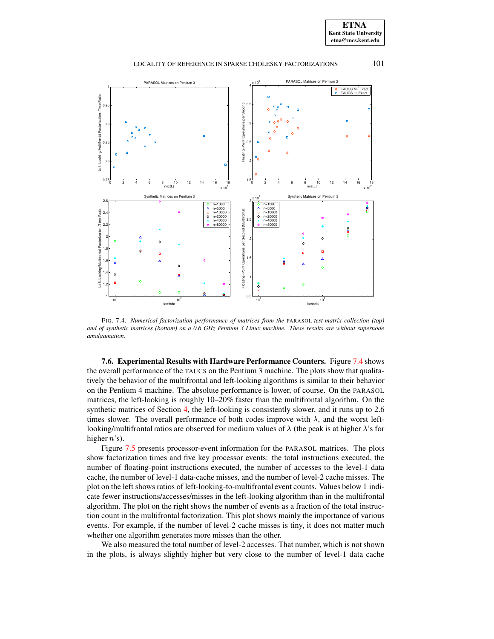



<span id="page-20-0"></span>FIG. 7.4. *Numerical factorization performance of matrices from the* PARASOL *test-matrix collection (top)* and of synthetic matrices (bottom) on a 0.6 GHz Pentium 3 Linux machine. These results are without supernode *amalgamation.*

**7.6. Experimental Results with Hardware Performance Counters.** Figure [7.4](#page-20-0) shows the overall performance of the TAUCS on the Pentium 3 machine. The plots show that qualitatively the behavior of the multifrontal and left-looking algorithms is similar to their behavior on the Pentium 4 machine. The absolute performance is lower, of course. On the PARASOL matrices, the left-looking is roughly 10–20% faster than the multifrontal algorithm. On the synthetic matrices of Section [4,](#page-9-0) the left-looking is consistently slower, and it runs up to 2.6 times slower. The overall performance of both codes improve with  $\lambda$ , and the worst leftlooking/multifrontal ratios are observed for medium values of  $\lambda$  (the peak is at higher  $\lambda$ 's for higher  $n$ 's).

Figure [7.5](#page-21-0) presents processor-event information for the PARASOL matrices. The plots show factorization times and five key processor events: the total instructions executed, the number of floating-point instructions executed, the number of accesses to the level-1 data cache, the number of level-1 data-cache misses, and the number of level-2 cache misses. The plot on the left shows ratios of left-looking-to-multifrontal event counts. Values below 1 indicate fewer instructions/accesses/misses in the left-looking algorithm than in the multifrontal algorithm. The plot on the right shows the number of events as a fraction of the total instruction count in the multifrontal factorization. This plot shows mainly the importance of various events. For example, if the number of level-2 cache misses is tiny, it does not matter much whether one algorithm generates more misses than the other.

We also measured the total number of level-2 accesses. That number, which is not shown in the plots, is always slightly higher but very close to the number of level-1 data cache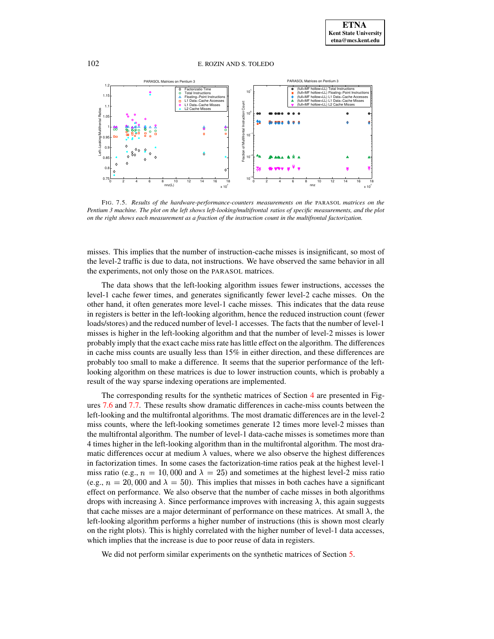

<span id="page-21-0"></span>FIG. 7.5. *Results of the hardware-performance-counters measurements on the* PARASOL *matrices on the* Pentium 3 machine. The plot on the left shows left-looking/multifrontal ratios of specific measurements, and the plot on the right shows each measurement as a fraction of the instruction count in the multifrontal factorization.

misses. This implies that the number of instruction-cache misses is insignificant, so most of the level-2 traffic is due to data, not instructions. We have observed the same behavior in all the experiments, not only those on the PARASOL matrices.

The data shows that the left-looking algorithm issues fewer instructions, accesses the level-1 cache fewer times, and generates significantly fewer level-2 cache misses. On the other hand, it often generates more level-1 cache misses. This indicates that the data reuse in registers is better in the left-looking algorithm, hence the reduced instruction count (fewer loads/stores) and the reduced number of level-1 accesses. The facts that the number of level-1 misses is higher in the left-looking algorithm and that the number of level-2 misses is lower probably imply that the exact cache miss rate haslittle effect on the algorithm. The differences in cache miss counts are usually less than 15% in either direction, and these differences are probably too small to make a difference. It seems that the superior performance of the leftlooking algorithm on these matrices is due to lower instruction counts, which is probably a result of the way sparse indexing operations are implemented.

The corresponding results for the synthetic matrices of Section [4](#page-9-0) are presented in Figures [7.6](#page-22-1) and [7.7.](#page-23-0) These results show dramatic differences in cache-miss counts between the left-looking and the multifrontal algorithms. The most dramatic differences are in the level-2 miss counts, where the left-looking sometimes generate 12 times more level-2 misses than the multifrontal algorithm. The number of level-1 data-cache misses is sometimes more than 4 times higher in the left-looking algorithm than in the multifrontal algorithm. The most dramatic differences occur at medium  $\lambda$  values, where we also observe the highest differences in factorization times. In some cases the factorization-time ratios peak at the highest level-1 miss ratio (e.g.,  $n = 10,000$  and  $\lambda = 25$ ) and sometimes at the highest level-2 miss ratio (e.g.,  $n = 20,000$  and  $\lambda = 50$ ). This implies that misses in both caches have a significant effect on performance. We also observe that the number of cache misses in both algorithms drops with increasing  $\lambda$ . Since performance improves with increasing  $\lambda$ , this again suggests that cache misses are a major determinant of performance on these matrices. At small  $\lambda$ , the left-looking algorithm performs a higher number of instructions (this is shown most clearly on the right plots). This is highly correlated with the higher number of level-1 data accesses, which implies that the increase is due to poor reuse of data in registers.

We did not perform similar experiments on the synthetic matrices of Section [5.](#page-11-0)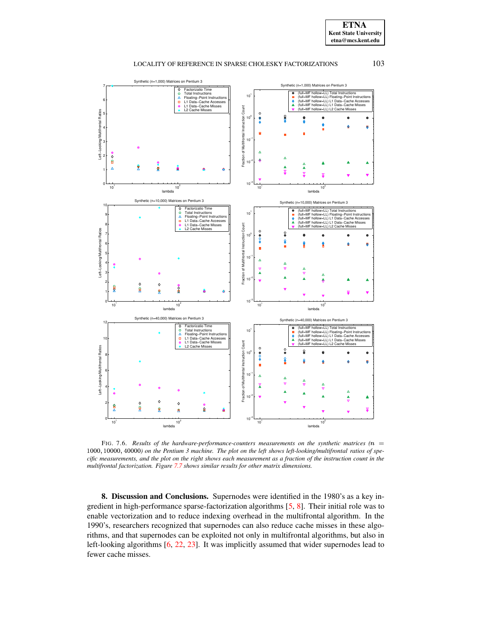



<span id="page-22-1"></span>FIG. 7.6. *Results of the hardware-performance-counters measurements on the synthetic matrices*  $(n = 1)$ 1000, 10000, 40000) on the Pentium 3 machine. The plot on the left shows left-looking/multifrontal ratios of specific measurements, and the plot on the right shows each measurement as a fraction of the instruction count in the *multifrontal factorization. Figure [7.7](#page-23-0) shows similar results for other matrix dimensions.*

<span id="page-22-0"></span>**8. Discussion and Conclusions.** Supernodes were identified in the 1980's as a key ingredient in high-performance sparse-factorization algorithms [\[5,](#page-24-4) [8\]](#page-24-3). Their initial role was to enable vectorization and to reduce indexing overhead in the multifrontal algorithm. In the 1990's, researchers recognized that supernodes can also reduce cache misses in these algorithms, and that supernodes can be exploited not only in multifrontal algorithms, but also in left-looking algorithms [\[6,](#page-24-17) [22,](#page-25-1) [23\]](#page-25-0). It was implicitly assumed that wider supernodes lead to fewer cache misses.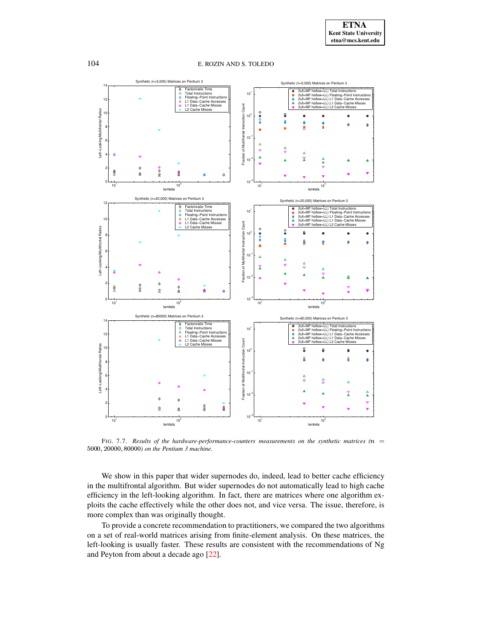

<span id="page-23-0"></span>FIG. 7.7. *Results of the hardware-performance-counters measurements on the synthetic matrices (*¼½  $5000, 20000, 80000)$  *on the Pentium 3 machine.* 

We show in this paper that wider supernodes do, indeed, lead to better cache efficiency in the multifrontal algorithm. But wider supernodes do not automatically lead to high cache efficiency in the left-looking algorithm. In fact, there are matrices where one algorithm exploits the cache effectively while the other does not, and vice versa. The issue, therefore, is more complex than was originally thought.

To provide a concrete recommendation to practitioners, we compared the two algorithms on a set of real-world matrices arising from finite-element analysis. On these matrices, the left-looking is usually faster. These results are consistent with the recommendations of Ng and Peyton from about a decade ago [\[22\]](#page-25-1).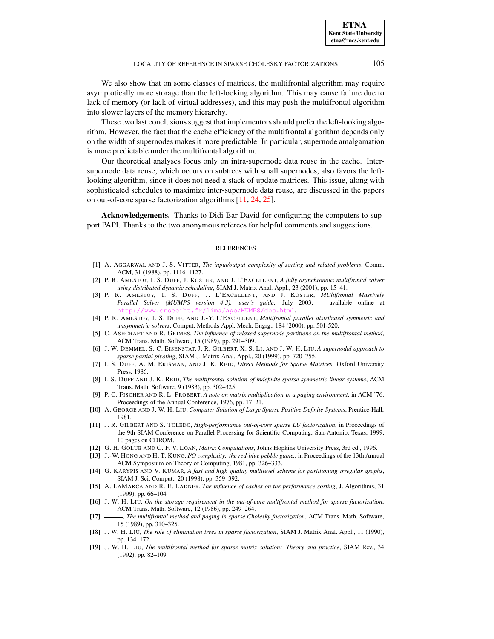We also show that on some classes of matrices, the multifrontal algorithm may require asymptotically more storage than the left-looking algorithm. This may cause failure due to lack of memory (or lack of virtual addresses), and this may push the multifrontal algorithm into slower layers of the memory hierarchy.

These two last conclusions suggest that implementors should prefer the left-looking algorithm. However, the fact that the cache efficiency of the multifrontal algorithm depends only on the width of supernodes makes it more predictable. In particular, supernode amalgamation is more predictable under the multifrontal algorithm.

Our theoretical analyses focus only on intra-supernode data reuse in the cache. Intersupernode data reuse, which occurs on subtrees with small supernodes, also favors the leftlooking algorithm, since it does not need a stack of update matrices. This issue, along with sophisticated schedules to maximize inter-supernode data reuse, are discussed in the papers on out-of-core sparse factorization algorithms [\[11,](#page-24-18) [24,](#page-25-7) [25\]](#page-25-8).

**Acknowledgements.** Thanks to Didi Bar-David for configuring the computers to support PAPI. Thanks to the two anonymous referees for helpful comments and suggestions.

#### **REFERENCES**

- <span id="page-24-8"></span>[1] A. AGGARWAL AND J. S. VITTER, *The input/output complexity of sorting and related problems*, Comm. ACM, 31 (1988), pp. 1116–1127.
- <span id="page-24-14"></span>[2] P. R. AMESTOY, I. S. DUFF, J. KOSTER, AND J. L'EXCELLENT, *A fully asynchronous multifrontal solver using distributed dynamic scheduling*, SIAM J. Matrix Anal. Appl., 23 (2001), pp. 15–41.
- <span id="page-24-15"></span>[3] P. R. AMESTOY, I. S. DUFF, J. L'EXCELLENT, AND J. KOSTER, *MUltifrontal Massively Parallel Solver (MUMPS version 4.3), user's guide*, July 2003, available online at <http://www.enseeiht.fr/lima/apo/MUMPS/doc.html>.
- <span id="page-24-13"></span><span id="page-24-4"></span>[4] P. R. AMESTOY, I. S. DUFF, AND J.-Y. L'EXCELLENT, *Multifrontal parallel distributed symmetric and unsymmetric solvers*, Comput. Methods Appl. Mech. Engrg., 184 (2000), pp. 501-520.
- [5] C. ASHCRAFT AND R. GRIMES, *The influence of relaxed supernode partitions on the multifrontal method*, ACM Trans. Math. Software, 15 (1989), pp. 291–309.
- <span id="page-24-17"></span>[6] J. W. DEMMEL, S. C. EISENSTAT, J. R. GILBERT, X. S. LI, AND J. W. H. LIU, *A supernodal approach to sparse partial pivoting*, SIAM J. Matrix Anal. Appl., 20 (1999), pp. 720–755.
- <span id="page-24-0"></span>[7] I. S. DUFF, A. M. ERISMAN, AND J. K. REID, *Direct Methods for Sparse Matrices*, Oxford University Press, 1986.
- <span id="page-24-3"></span>[8] I. S. DUFF AND J. K. REID, *The multifrontal solution of indefinite sparse symmetric linear systems*, ACM Trans. Math. Software, 9 (1983), pp. 302–325.
- <span id="page-24-10"></span>[9] P. C. FISCHER AND R. L. PROBERT, *A note on matrix multiplication in a paging environment*, in ACM '76: Proceedings of the Annual Conference, 1976, pp. 17–21.
- <span id="page-24-18"></span><span id="page-24-1"></span>[10] A. GEORGE AND J. W. H. LIU, *Computer Solution of Large Sparse Positive Definite Systems*, Prentice-Hall, 1981.
- [11] J. R. GILBERT AND S. TOLEDO, *High-performance out-of-core sparse LU factorization*, in Proceedings of the 9th SIAM Conference on Parallel Processing for Scientific Computing, San-Antonio, Texas, 1999, 10 pages on CDROM.
- <span id="page-24-11"></span><span id="page-24-7"></span>[12] G. H. GOLUB AND C. F. V. LOAN, *Matrix Computations*, Johns Hopkins University Press, 3rd ed., 1996.
- [13] J.-W. HONG AND H. T. KUNG, *I/O complexity: the red-blue pebble game.*, in Proceedings of the 13th Annual ACM Symposium on Theory of Computing, 1981, pp. 326–333.
- <span id="page-24-16"></span>[14] G. KARYPIS AND V. KUMAR, *A fast and high quality multilevel scheme for partitioning irregular graphs*, SIAM J. Sci. Comput., 20 (1998), pp. 359–392.
- <span id="page-24-9"></span>[15] A. LAMARCA AND R. E. LADNER, *The influence of caches on the performance sorting*, J. Algorithms, 31 (1999), pp. 66–104.
- <span id="page-24-6"></span>[16] J. W. H. LIU, *On the storage requirement in the out-of-core multifrontal method for sparse factorization*, ACM Trans. Math. Software, 12 (1986), pp. 249–264.
- <span id="page-24-12"></span>[17] , *The multifrontal method and paging in sparse Cholesky factorization*, ACM Trans. Math. Software, 15 (1989), pp. 310–325.
- <span id="page-24-2"></span>[18] J. W. H. LIU, *The role of elimination trees in sparse factorization*, SIAM J. Matrix Anal. Appl., 11 (1990), pp. 134–172.
- <span id="page-24-5"></span>[19] J. W. H. LIU, *The multifrontal method for sparse matrix solution: Theory and practice*, SIAM Rev., 34 (1992), pp. 82–109.